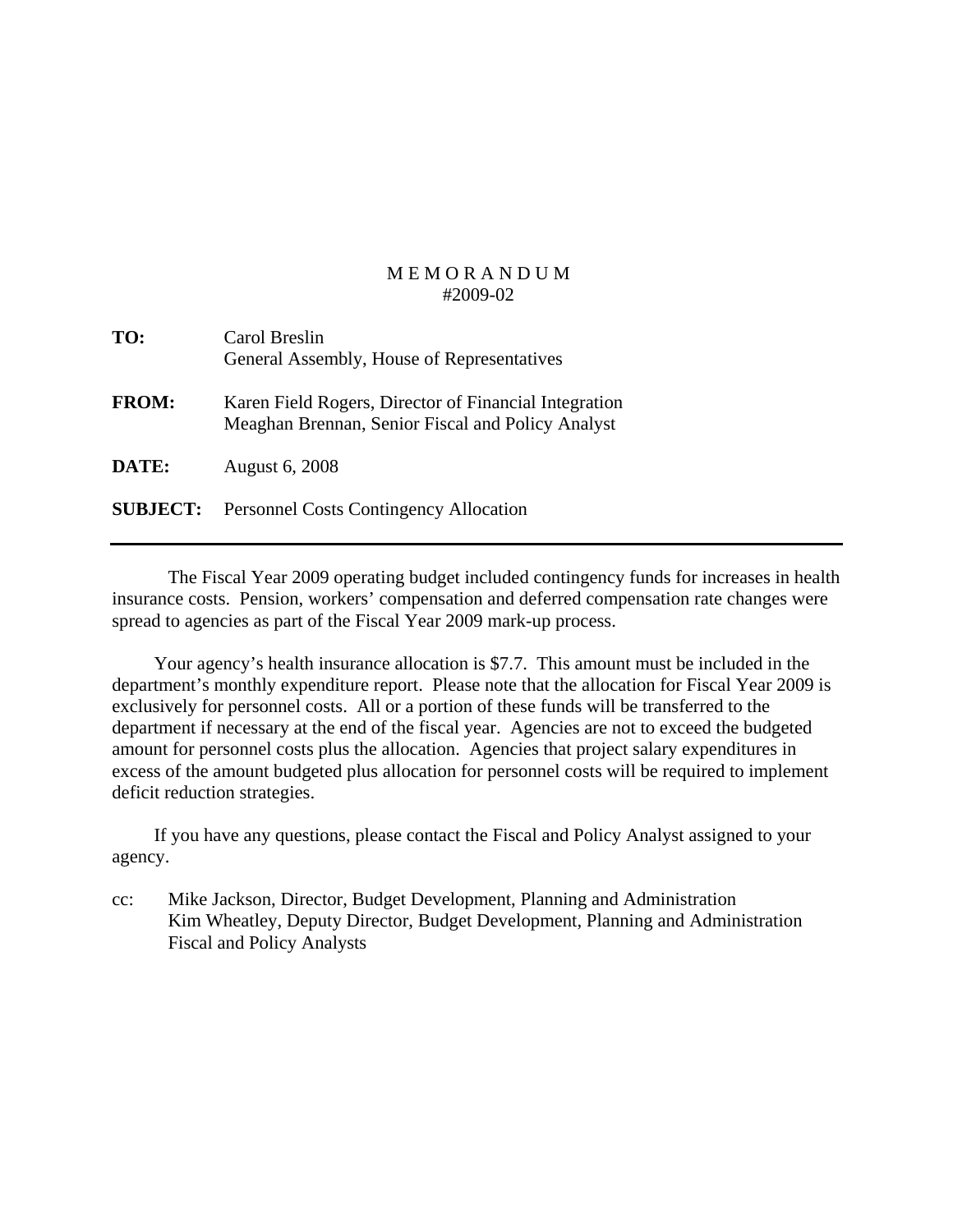| TO:             | Carol Breslin<br>General Assembly, House of Representatives                                                |
|-----------------|------------------------------------------------------------------------------------------------------------|
| <b>FROM:</b>    | Karen Field Rogers, Director of Financial Integration<br>Meaghan Brennan, Senior Fiscal and Policy Analyst |
| DATE:           | <b>August 6, 2008</b>                                                                                      |
| <b>SUBJECT:</b> | <b>Personnel Costs Contingency Allocation</b>                                                              |

 The Fiscal Year 2009 operating budget included contingency funds for increases in health insurance costs. Pension, workers' compensation and deferred compensation rate changes were spread to agencies as part of the Fiscal Year 2009 mark-up process.

 Your agency's health insurance allocation is \$7.7. This amount must be included in the department's monthly expenditure report. Please note that the allocation for Fiscal Year 2009 is exclusively for personnel costs. All or a portion of these funds will be transferred to the department if necessary at the end of the fiscal year. Agencies are not to exceed the budgeted amount for personnel costs plus the allocation. Agencies that project salary expenditures in excess of the amount budgeted plus allocation for personnel costs will be required to implement deficit reduction strategies.

 If you have any questions, please contact the Fiscal and Policy Analyst assigned to your agency.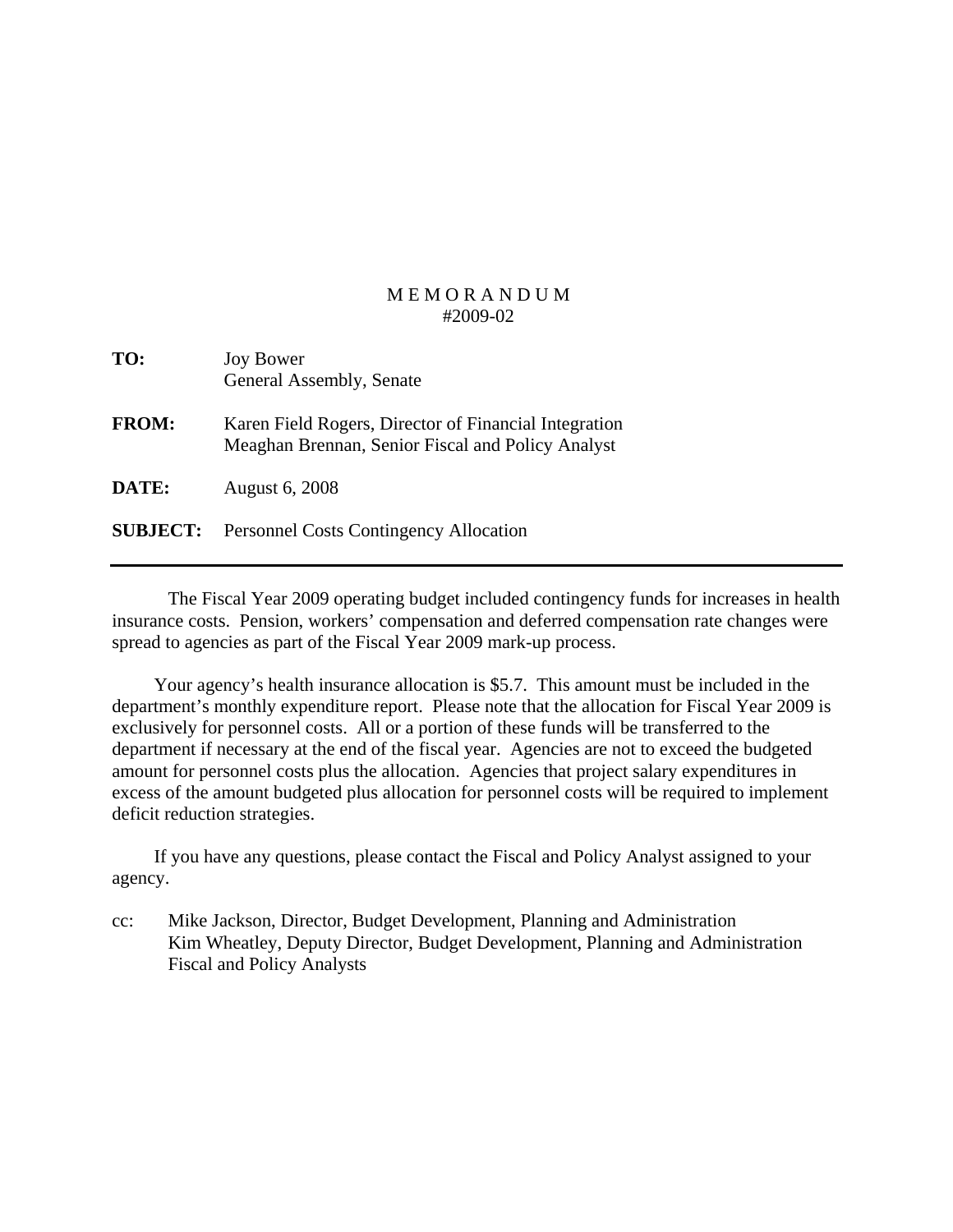| TO:             | <b>Joy Bower</b><br>General Assembly, Senate                                                               |
|-----------------|------------------------------------------------------------------------------------------------------------|
| <b>FROM:</b>    | Karen Field Rogers, Director of Financial Integration<br>Meaghan Brennan, Senior Fiscal and Policy Analyst |
| DATE:           | <b>August 6, 2008</b>                                                                                      |
| <b>SUBJECT:</b> | <b>Personnel Costs Contingency Allocation</b>                                                              |

 The Fiscal Year 2009 operating budget included contingency funds for increases in health insurance costs. Pension, workers' compensation and deferred compensation rate changes were spread to agencies as part of the Fiscal Year 2009 mark-up process.

 Your agency's health insurance allocation is \$5.7. This amount must be included in the department's monthly expenditure report. Please note that the allocation for Fiscal Year 2009 is exclusively for personnel costs. All or a portion of these funds will be transferred to the department if necessary at the end of the fiscal year. Agencies are not to exceed the budgeted amount for personnel costs plus the allocation. Agencies that project salary expenditures in excess of the amount budgeted plus allocation for personnel costs will be required to implement deficit reduction strategies.

 If you have any questions, please contact the Fiscal and Policy Analyst assigned to your agency.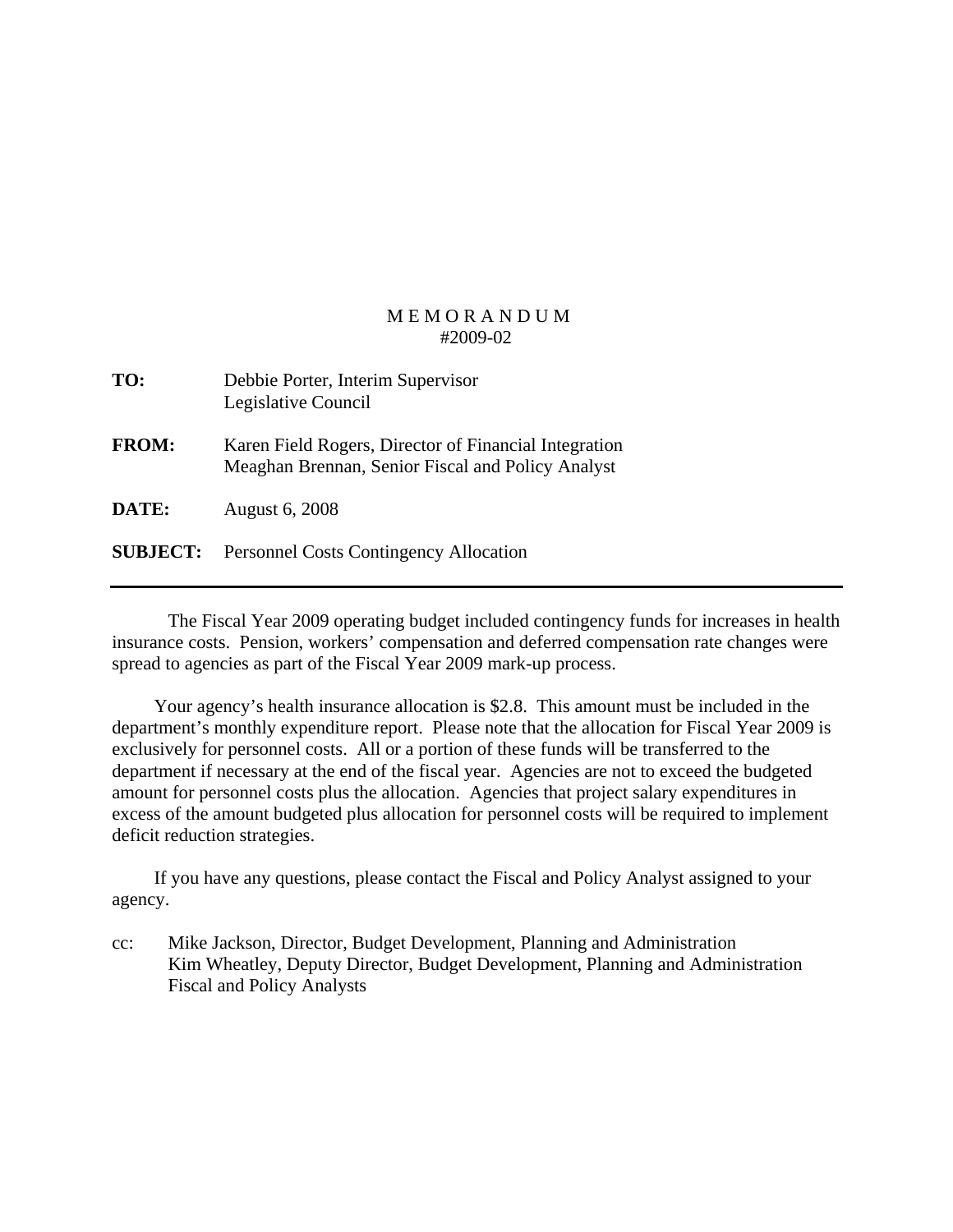| TO:          | Debbie Porter, Interim Supervisor<br>Legislative Council |
|--------------|----------------------------------------------------------|
| <b>FROM:</b> | Karen Field Rogers, Director of Financial In             |

- *<u>Exergencial</u>* Meaghan Brennan, Senior Fiscal and Policy Analyst
- **DATE:** August 6, 2008
- **SUBJECT:** Personnel Costs Contingency Allocation

 The Fiscal Year 2009 operating budget included contingency funds for increases in health insurance costs. Pension, workers' compensation and deferred compensation rate changes were spread to agencies as part of the Fiscal Year 2009 mark-up process.

 Your agency's health insurance allocation is \$2.8. This amount must be included in the department's monthly expenditure report. Please note that the allocation for Fiscal Year 2009 is exclusively for personnel costs. All or a portion of these funds will be transferred to the department if necessary at the end of the fiscal year. Agencies are not to exceed the budgeted amount for personnel costs plus the allocation. Agencies that project salary expenditures in excess of the amount budgeted plus allocation for personnel costs will be required to implement deficit reduction strategies.

 If you have any questions, please contact the Fiscal and Policy Analyst assigned to your agency.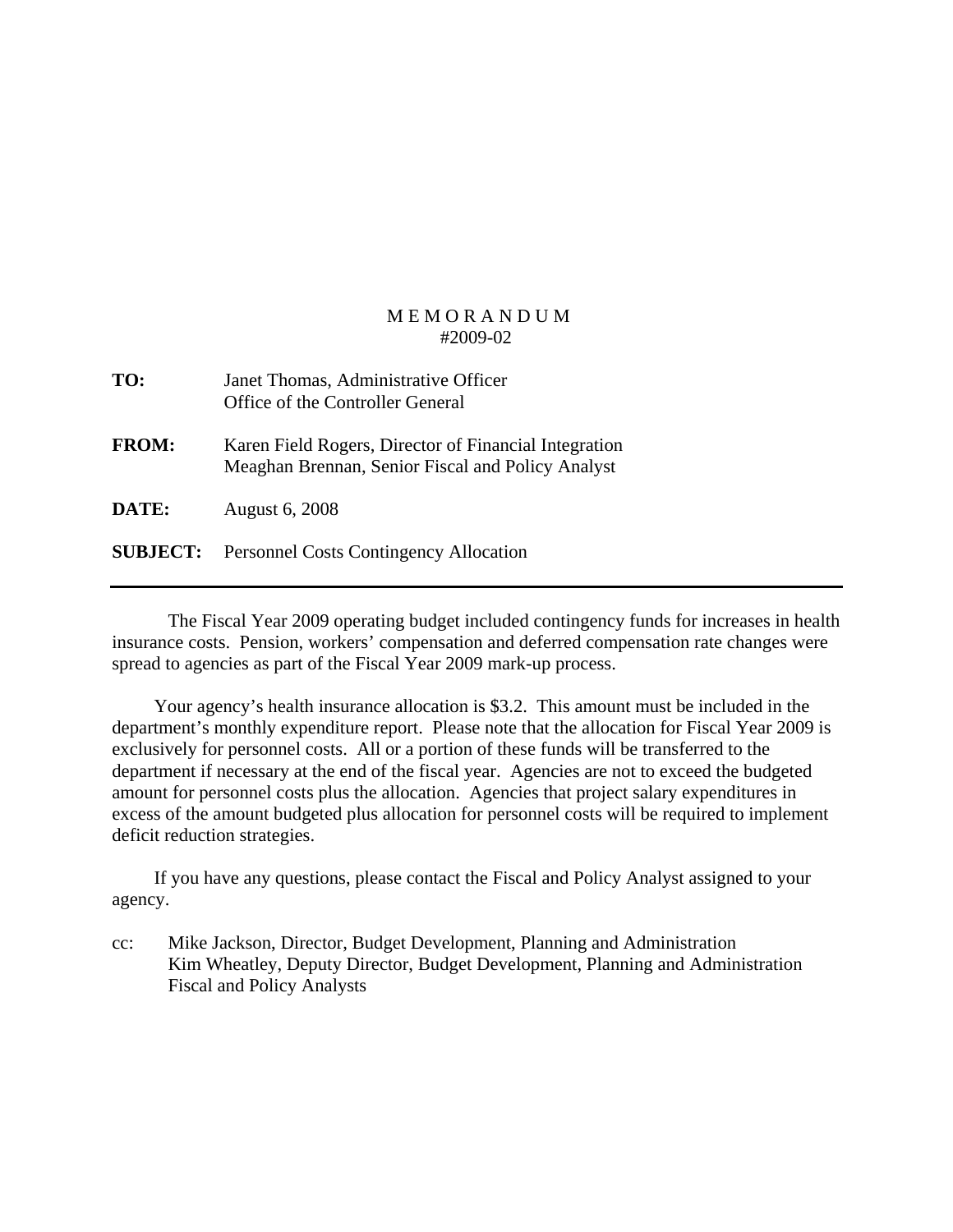| TO:          | Janet Thomas, Administrative Officer<br>Office of the Controller General                                   |
|--------------|------------------------------------------------------------------------------------------------------------|
| <b>FROM:</b> | Karen Field Rogers, Director of Financial Integration<br>Meaghan Brennan, Senior Fiscal and Policy Analyst |
| <b>DATE:</b> | <b>August 6, 2008</b>                                                                                      |
|              | <b>SUBJECT:</b> Personnel Costs Contingency Allocation                                                     |

 The Fiscal Year 2009 operating budget included contingency funds for increases in health insurance costs. Pension, workers' compensation and deferred compensation rate changes were spread to agencies as part of the Fiscal Year 2009 mark-up process.

 Your agency's health insurance allocation is \$3.2. This amount must be included in the department's monthly expenditure report. Please note that the allocation for Fiscal Year 2009 is exclusively for personnel costs. All or a portion of these funds will be transferred to the department if necessary at the end of the fiscal year. Agencies are not to exceed the budgeted amount for personnel costs plus the allocation. Agencies that project salary expenditures in excess of the amount budgeted plus allocation for personnel costs will be required to implement deficit reduction strategies.

 If you have any questions, please contact the Fiscal and Policy Analyst assigned to your agency.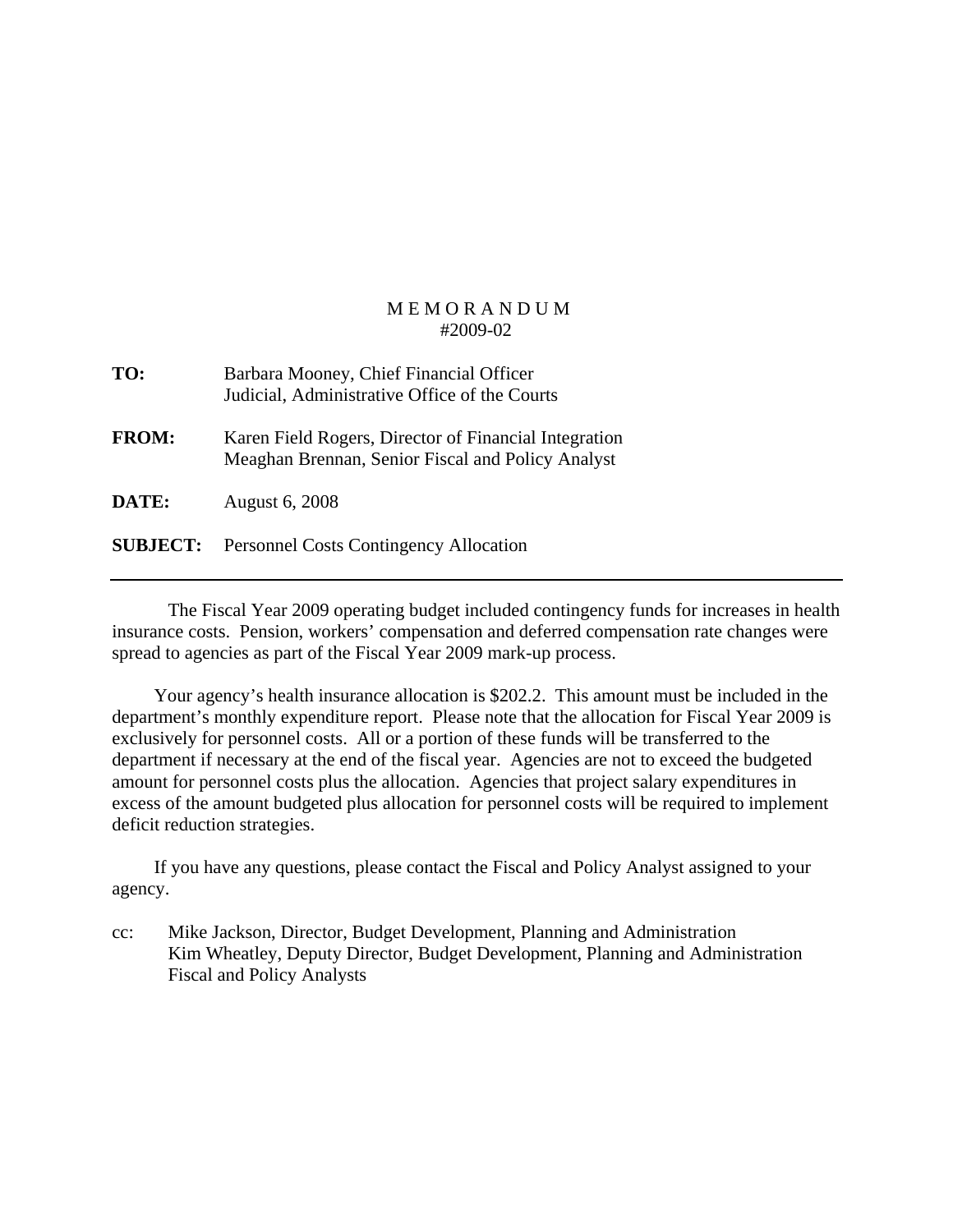| TO:             | Barbara Mooney, Chief Financial Officer<br>Judicial, Administrative Office of the Courts                   |
|-----------------|------------------------------------------------------------------------------------------------------------|
| <b>FROM:</b>    | Karen Field Rogers, Director of Financial Integration<br>Meaghan Brennan, Senior Fiscal and Policy Analyst |
| <b>DATE:</b>    | <b>August 6, 2008</b>                                                                                      |
| <b>SUBJECT:</b> | <b>Personnel Costs Contingency Allocation</b>                                                              |

 The Fiscal Year 2009 operating budget included contingency funds for increases in health insurance costs. Pension, workers' compensation and deferred compensation rate changes were spread to agencies as part of the Fiscal Year 2009 mark-up process.

 Your agency's health insurance allocation is \$202.2. This amount must be included in the department's monthly expenditure report. Please note that the allocation for Fiscal Year 2009 is exclusively for personnel costs. All or a portion of these funds will be transferred to the department if necessary at the end of the fiscal year. Agencies are not to exceed the budgeted amount for personnel costs plus the allocation. Agencies that project salary expenditures in excess of the amount budgeted plus allocation for personnel costs will be required to implement deficit reduction strategies.

 If you have any questions, please contact the Fiscal and Policy Analyst assigned to your agency.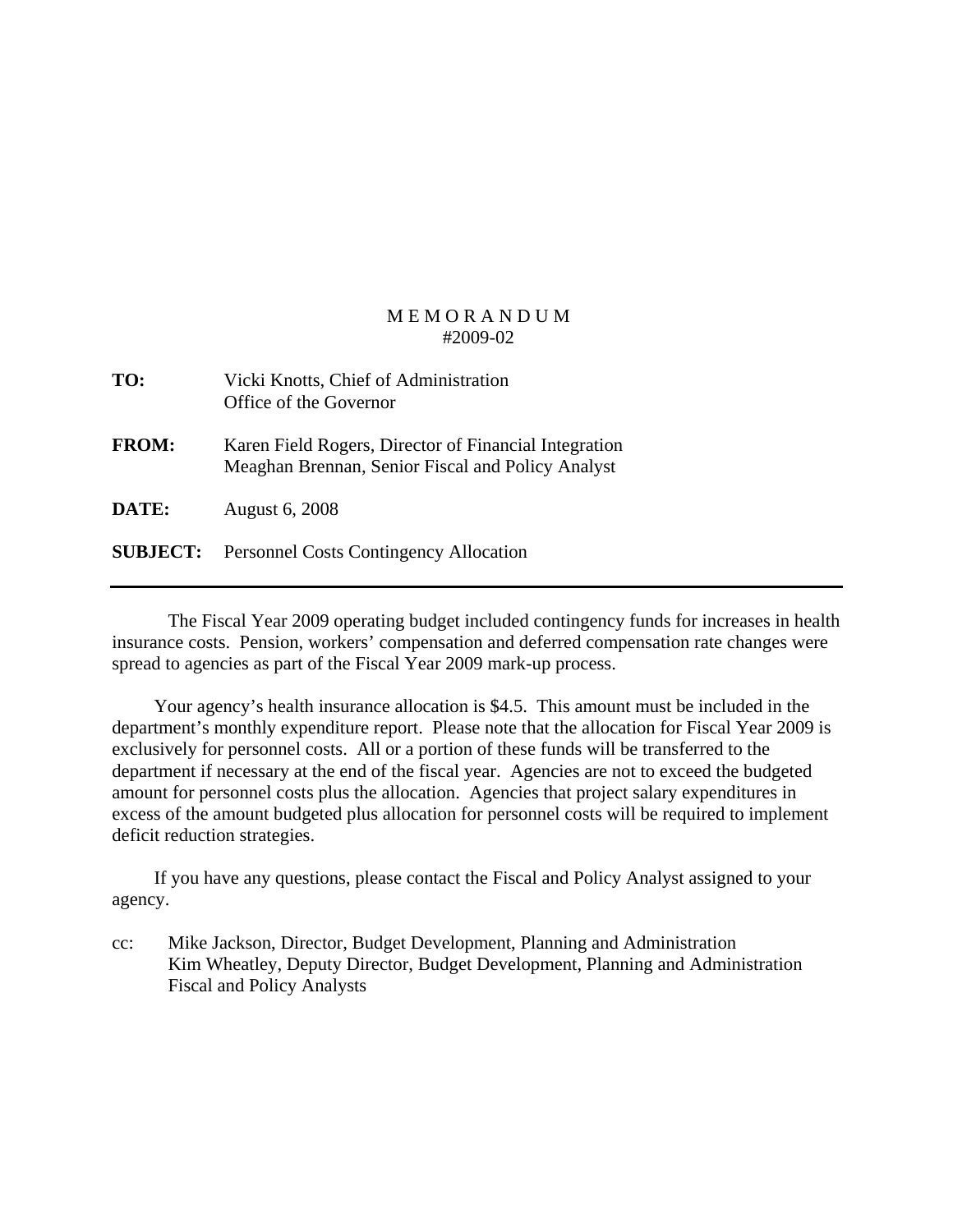| TO:             | Vicki Knotts, Chief of Administration<br>Office of the Governor                                            |
|-----------------|------------------------------------------------------------------------------------------------------------|
| <b>FROM:</b>    | Karen Field Rogers, Director of Financial Integration<br>Meaghan Brennan, Senior Fiscal and Policy Analyst |
| DATE:           | <b>August 6, 2008</b>                                                                                      |
| <b>SUBJECT:</b> | <b>Personnel Costs Contingency Allocation</b>                                                              |

 The Fiscal Year 2009 operating budget included contingency funds for increases in health insurance costs. Pension, workers' compensation and deferred compensation rate changes were spread to agencies as part of the Fiscal Year 2009 mark-up process.

 Your agency's health insurance allocation is \$4.5. This amount must be included in the department's monthly expenditure report. Please note that the allocation for Fiscal Year 2009 is exclusively for personnel costs. All or a portion of these funds will be transferred to the department if necessary at the end of the fiscal year. Agencies are not to exceed the budgeted amount for personnel costs plus the allocation. Agencies that project salary expenditures in excess of the amount budgeted plus allocation for personnel costs will be required to implement deficit reduction strategies.

 If you have any questions, please contact the Fiscal and Policy Analyst assigned to your agency.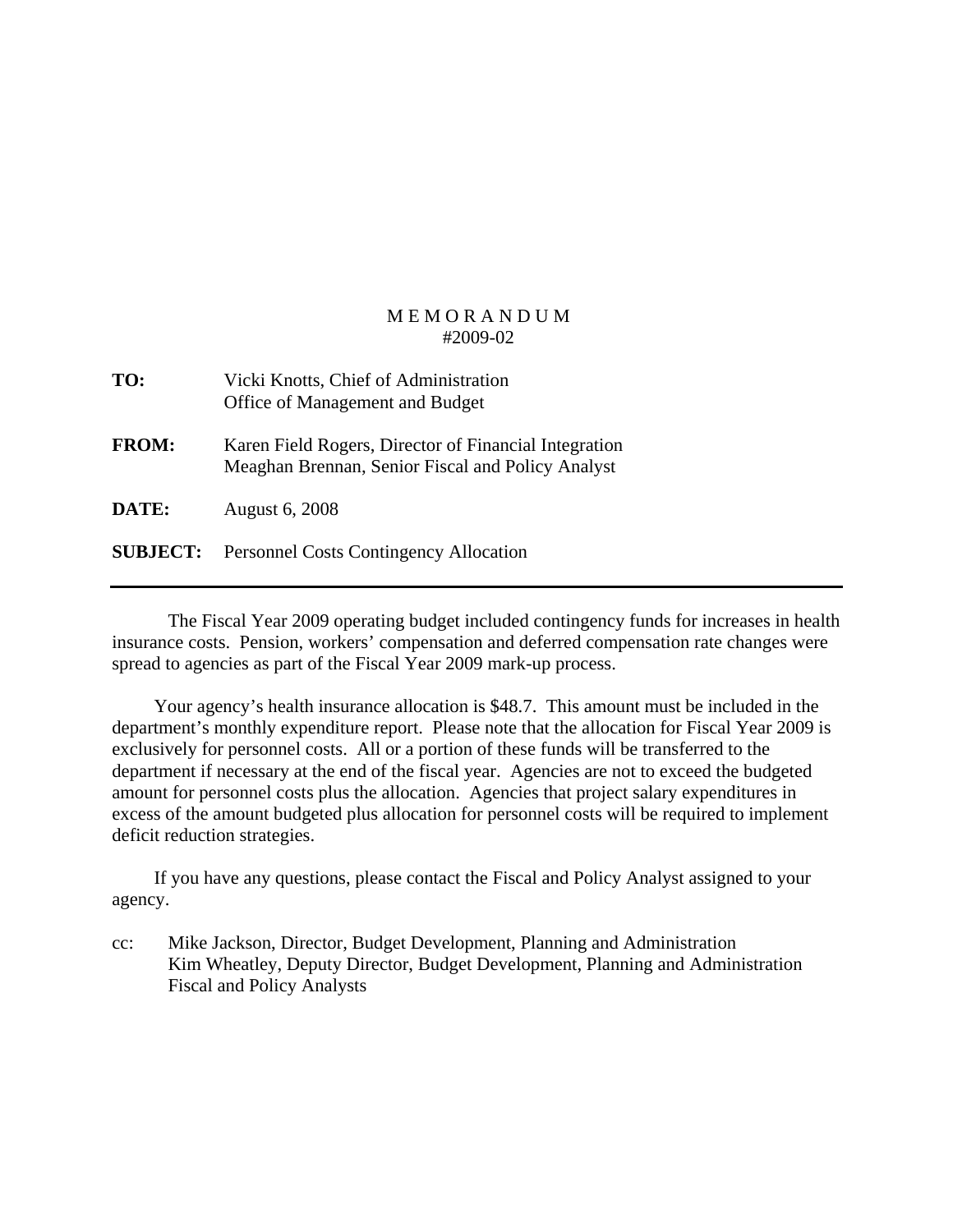| TO:             | Vicki Knotts, Chief of Administration<br>Office of Management and Budget                                   |
|-----------------|------------------------------------------------------------------------------------------------------------|
| <b>FROM:</b>    | Karen Field Rogers, Director of Financial Integration<br>Meaghan Brennan, Senior Fiscal and Policy Analyst |
| DATE:           | <b>August 6, 2008</b>                                                                                      |
| <b>SUBJECT:</b> | <b>Personnel Costs Contingency Allocation</b>                                                              |

 The Fiscal Year 2009 operating budget included contingency funds for increases in health insurance costs. Pension, workers' compensation and deferred compensation rate changes were spread to agencies as part of the Fiscal Year 2009 mark-up process.

 Your agency's health insurance allocation is \$48.7. This amount must be included in the department's monthly expenditure report. Please note that the allocation for Fiscal Year 2009 is exclusively for personnel costs. All or a portion of these funds will be transferred to the department if necessary at the end of the fiscal year. Agencies are not to exceed the budgeted amount for personnel costs plus the allocation. Agencies that project salary expenditures in excess of the amount budgeted plus allocation for personnel costs will be required to implement deficit reduction strategies.

 If you have any questions, please contact the Fiscal and Policy Analyst assigned to your agency.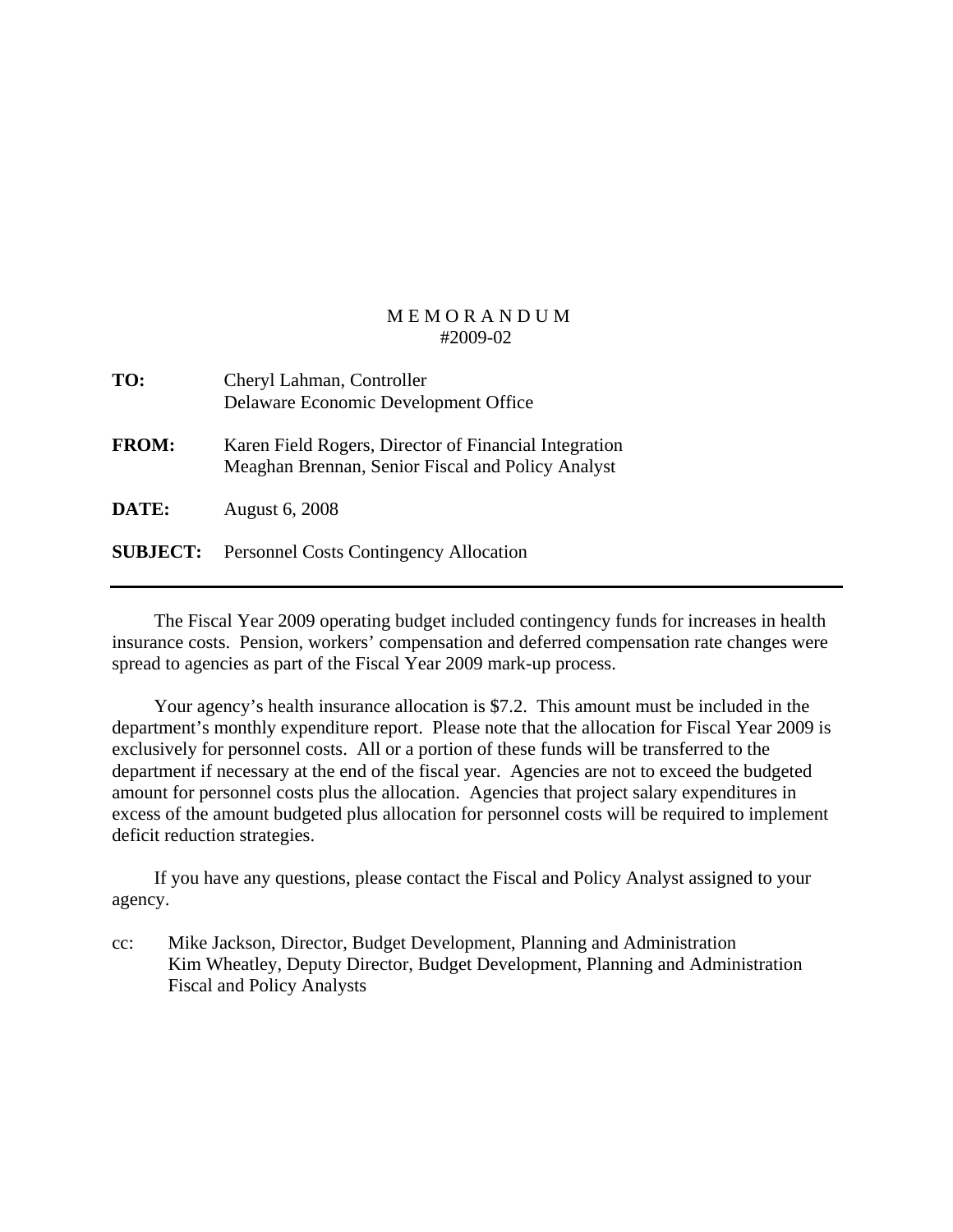| TO:             | Cheryl Lahman, Controller<br>Delaware Economic Development Office                                          |
|-----------------|------------------------------------------------------------------------------------------------------------|
| <b>FROM:</b>    | Karen Field Rogers, Director of Financial Integration<br>Meaghan Brennan, Senior Fiscal and Policy Analyst |
| DATE:           | <b>August 6, 2008</b>                                                                                      |
| <b>SUBJECT:</b> | <b>Personnel Costs Contingency Allocation</b>                                                              |

 The Fiscal Year 2009 operating budget included contingency funds for increases in health insurance costs. Pension, workers' compensation and deferred compensation rate changes were spread to agencies as part of the Fiscal Year 2009 mark-up process.

 Your agency's health insurance allocation is \$7.2. This amount must be included in the department's monthly expenditure report. Please note that the allocation for Fiscal Year 2009 is exclusively for personnel costs. All or a portion of these funds will be transferred to the department if necessary at the end of the fiscal year. Agencies are not to exceed the budgeted amount for personnel costs plus the allocation. Agencies that project salary expenditures in excess of the amount budgeted plus allocation for personnel costs will be required to implement deficit reduction strategies.

 If you have any questions, please contact the Fiscal and Policy Analyst assigned to your agency.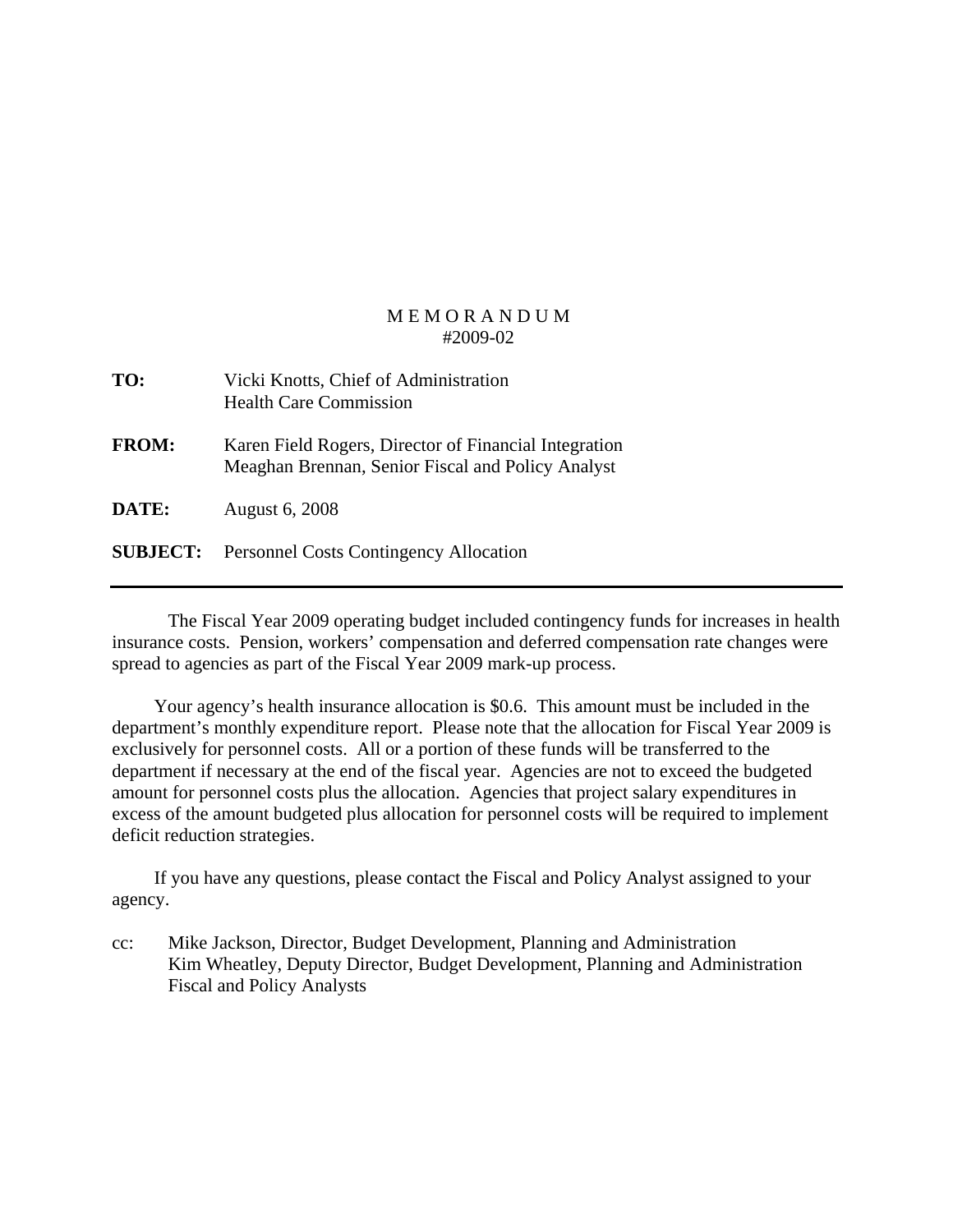| TO:          | Vicki Knotts, Chief of Administration<br><b>Health Care Commission</b>                                     |
|--------------|------------------------------------------------------------------------------------------------------------|
| <b>FROM:</b> | Karen Field Rogers, Director of Financial Integration<br>Meaghan Brennan, Senior Fiscal and Policy Analyst |
| <b>DATE:</b> | August 6, 2008                                                                                             |
|              | <b>SUBJECT:</b> Personnel Costs Contingency Allocation                                                     |

 The Fiscal Year 2009 operating budget included contingency funds for increases in health insurance costs. Pension, workers' compensation and deferred compensation rate changes were spread to agencies as part of the Fiscal Year 2009 mark-up process.

 Your agency's health insurance allocation is \$0.6. This amount must be included in the department's monthly expenditure report. Please note that the allocation for Fiscal Year 2009 is exclusively for personnel costs. All or a portion of these funds will be transferred to the department if necessary at the end of the fiscal year. Agencies are not to exceed the budgeted amount for personnel costs plus the allocation. Agencies that project salary expenditures in excess of the amount budgeted plus allocation for personnel costs will be required to implement deficit reduction strategies.

 If you have any questions, please contact the Fiscal and Policy Analyst assigned to your agency.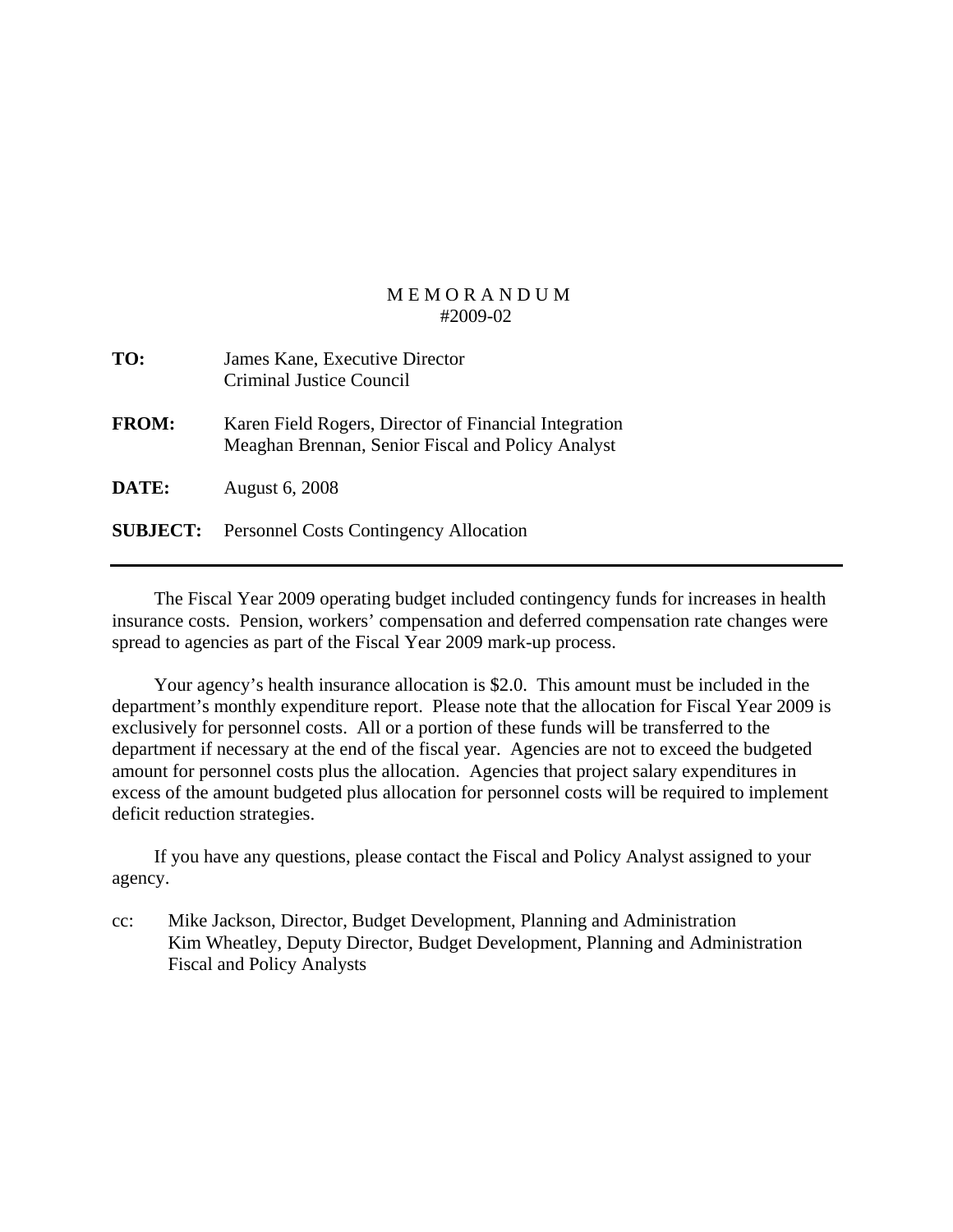| TO:             | James Kane, Executive Director<br>Criminal Justice Council                                                 |
|-----------------|------------------------------------------------------------------------------------------------------------|
| <b>FROM:</b>    | Karen Field Rogers, Director of Financial Integration<br>Meaghan Brennan, Senior Fiscal and Policy Analyst |
| DATE:           | <b>August 6, 2008</b>                                                                                      |
| <b>SUBJECT:</b> | <b>Personnel Costs Contingency Allocation</b>                                                              |

 The Fiscal Year 2009 operating budget included contingency funds for increases in health insurance costs. Pension, workers' compensation and deferred compensation rate changes were spread to agencies as part of the Fiscal Year 2009 mark-up process.

 Your agency's health insurance allocation is \$2.0. This amount must be included in the department's monthly expenditure report. Please note that the allocation for Fiscal Year 2009 is exclusively for personnel costs. All or a portion of these funds will be transferred to the department if necessary at the end of the fiscal year. Agencies are not to exceed the budgeted amount for personnel costs plus the allocation. Agencies that project salary expenditures in excess of the amount budgeted plus allocation for personnel costs will be required to implement deficit reduction strategies.

 If you have any questions, please contact the Fiscal and Policy Analyst assigned to your agency.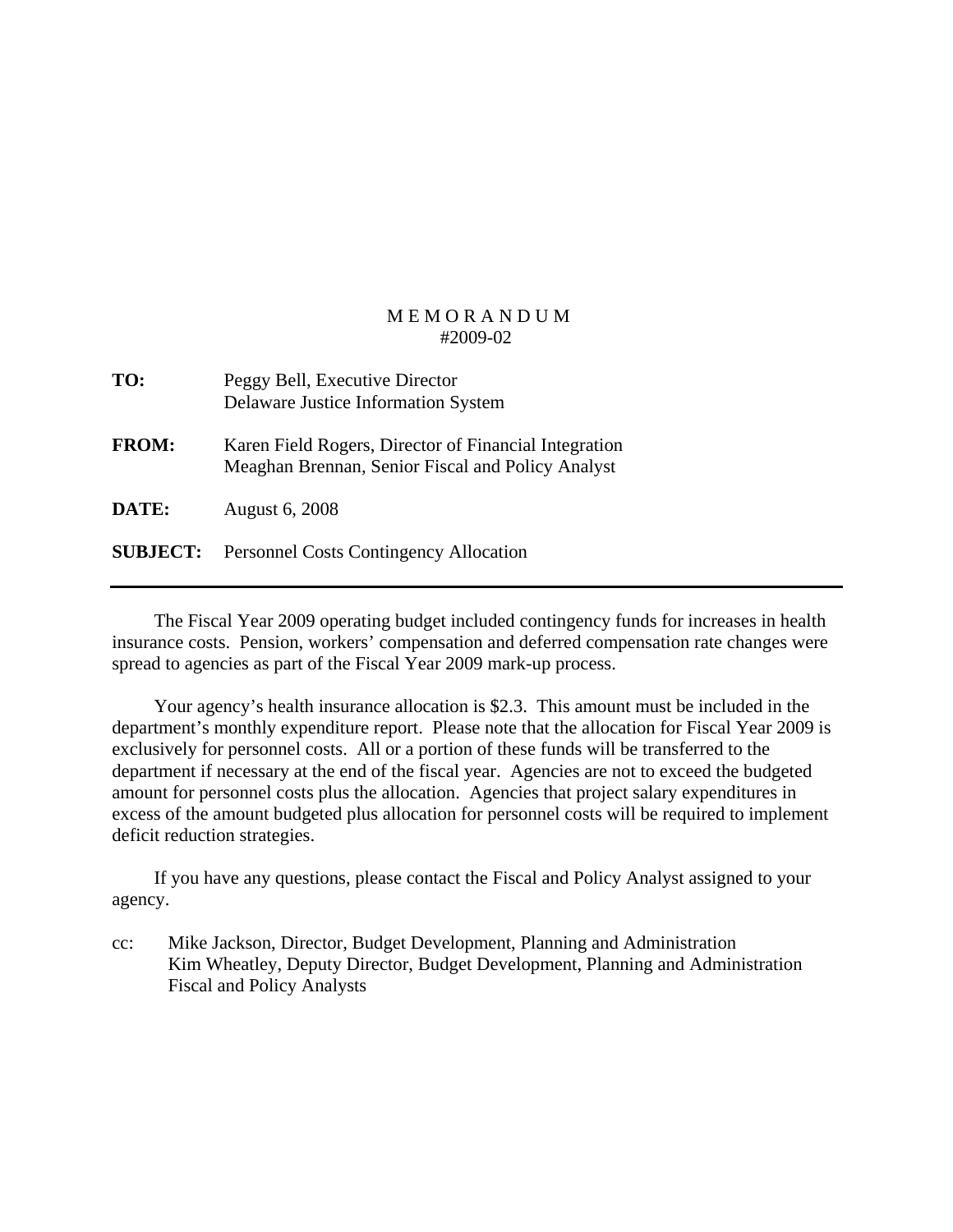| TO:             | Peggy Bell, Executive Director<br>Delaware Justice Information System                                      |
|-----------------|------------------------------------------------------------------------------------------------------------|
| <b>FROM:</b>    | Karen Field Rogers, Director of Financial Integration<br>Meaghan Brennan, Senior Fiscal and Policy Analyst |
| DATE:           | <b>August 6, 2008</b>                                                                                      |
| <b>SUBJECT:</b> | <b>Personnel Costs Contingency Allocation</b>                                                              |

 The Fiscal Year 2009 operating budget included contingency funds for increases in health insurance costs. Pension, workers' compensation and deferred compensation rate changes were spread to agencies as part of the Fiscal Year 2009 mark-up process.

 Your agency's health insurance allocation is \$2.3. This amount must be included in the department's monthly expenditure report. Please note that the allocation for Fiscal Year 2009 is exclusively for personnel costs. All or a portion of these funds will be transferred to the department if necessary at the end of the fiscal year. Agencies are not to exceed the budgeted amount for personnel costs plus the allocation. Agencies that project salary expenditures in excess of the amount budgeted plus allocation for personnel costs will be required to implement deficit reduction strategies.

 If you have any questions, please contact the Fiscal and Policy Analyst assigned to your agency.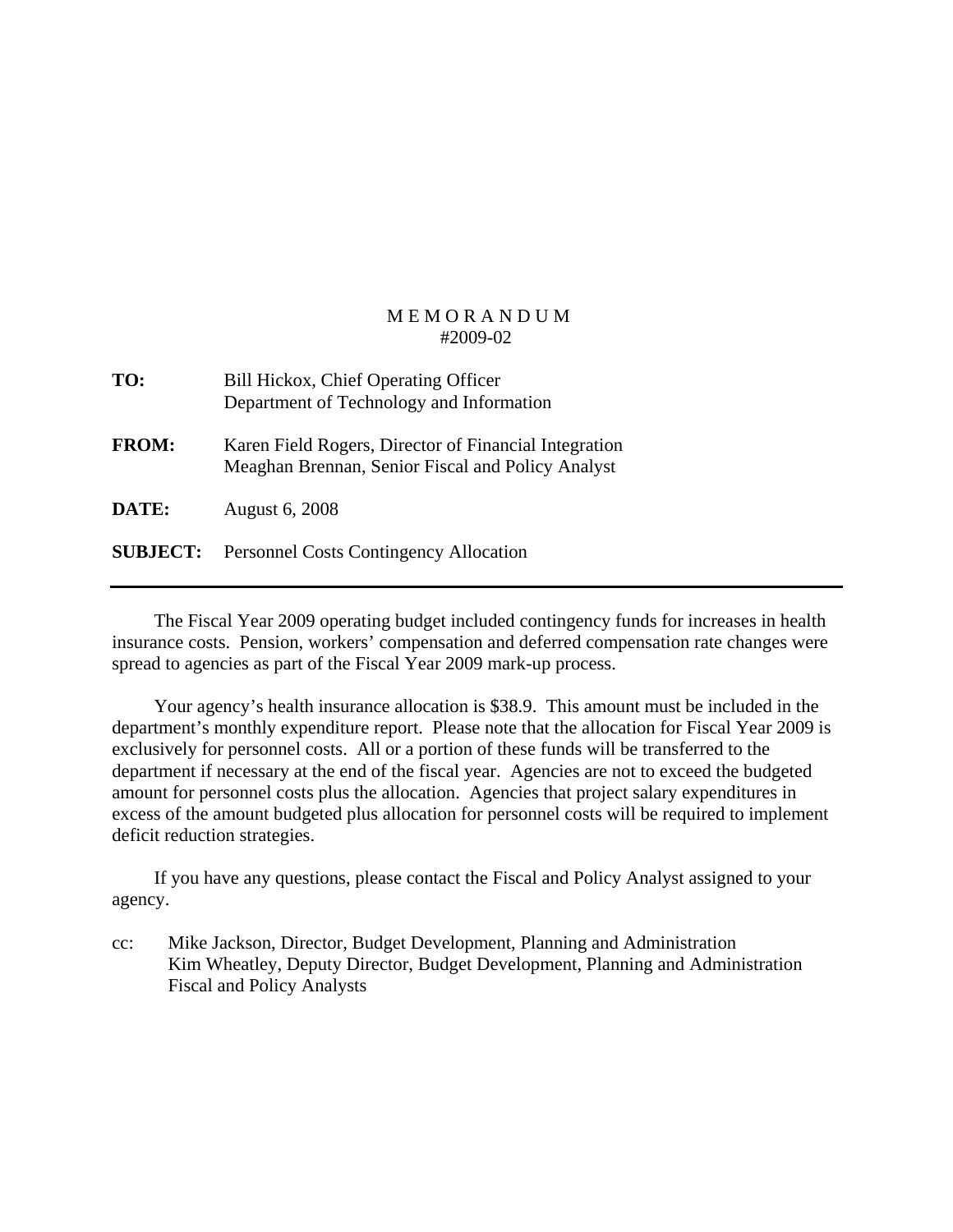| TO:             | Bill Hickox, Chief Operating Officer<br>Department of Technology and Information                           |
|-----------------|------------------------------------------------------------------------------------------------------------|
| <b>FROM:</b>    | Karen Field Rogers, Director of Financial Integration<br>Meaghan Brennan, Senior Fiscal and Policy Analyst |
| DATE:           | <b>August 6, 2008</b>                                                                                      |
| <b>SUBJECT:</b> | <b>Personnel Costs Contingency Allocation</b>                                                              |

 The Fiscal Year 2009 operating budget included contingency funds for increases in health insurance costs. Pension, workers' compensation and deferred compensation rate changes were spread to agencies as part of the Fiscal Year 2009 mark-up process.

 Your agency's health insurance allocation is \$38.9. This amount must be included in the department's monthly expenditure report. Please note that the allocation for Fiscal Year 2009 is exclusively for personnel costs. All or a portion of these funds will be transferred to the department if necessary at the end of the fiscal year. Agencies are not to exceed the budgeted amount for personnel costs plus the allocation. Agencies that project salary expenditures in excess of the amount budgeted plus allocation for personnel costs will be required to implement deficit reduction strategies.

 If you have any questions, please contact the Fiscal and Policy Analyst assigned to your agency.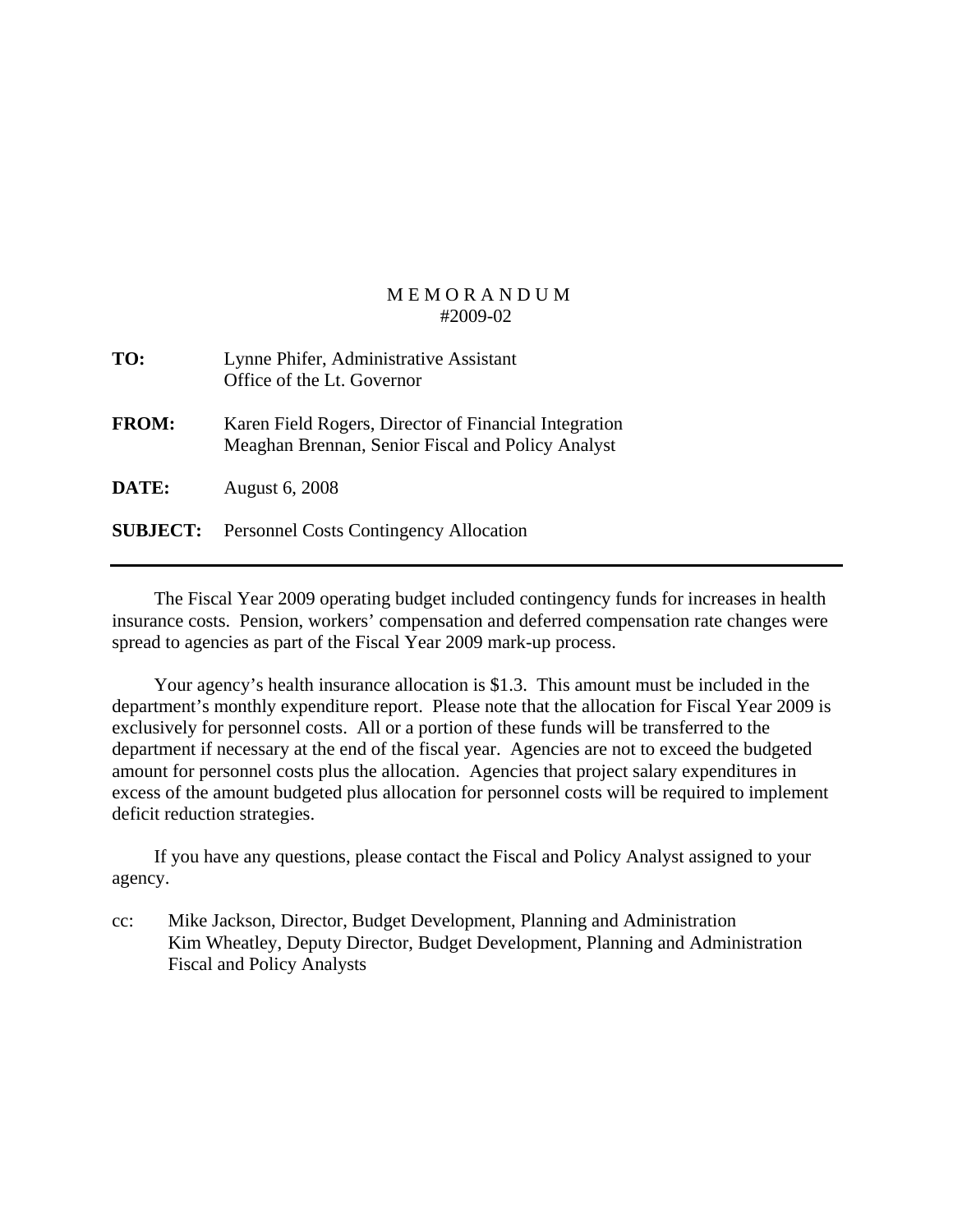| TO:             | Lynne Phifer, Administrative Assistant<br>Office of the Lt. Governor                                       |
|-----------------|------------------------------------------------------------------------------------------------------------|
| <b>FROM:</b>    | Karen Field Rogers, Director of Financial Integration<br>Meaghan Brennan, Senior Fiscal and Policy Analyst |
| DATE:           | <b>August 6, 2008</b>                                                                                      |
| <b>SUBJECT:</b> | <b>Personnel Costs Contingency Allocation</b>                                                              |

 The Fiscal Year 2009 operating budget included contingency funds for increases in health insurance costs. Pension, workers' compensation and deferred compensation rate changes were spread to agencies as part of the Fiscal Year 2009 mark-up process.

 Your agency's health insurance allocation is \$1.3. This amount must be included in the department's monthly expenditure report. Please note that the allocation for Fiscal Year 2009 is exclusively for personnel costs. All or a portion of these funds will be transferred to the department if necessary at the end of the fiscal year. Agencies are not to exceed the budgeted amount for personnel costs plus the allocation. Agencies that project salary expenditures in excess of the amount budgeted plus allocation for personnel costs will be required to implement deficit reduction strategies.

 If you have any questions, please contact the Fiscal and Policy Analyst assigned to your agency.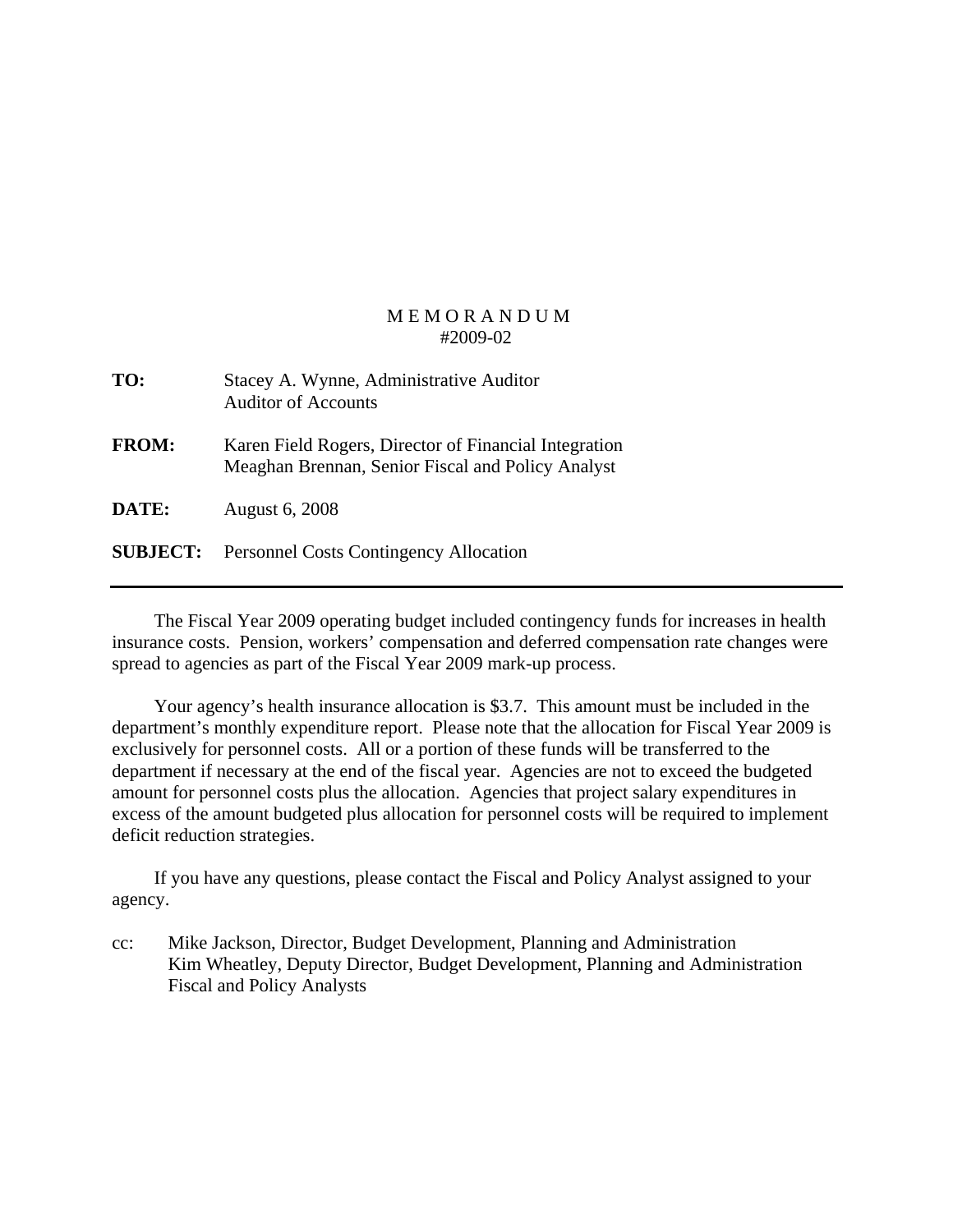| TO:          | Stacey A. Wynne, Administrative Auditor<br><b>Auditor of Accounts</b>                                      |
|--------------|------------------------------------------------------------------------------------------------------------|
| <b>FROM:</b> | Karen Field Rogers, Director of Financial Integration<br>Meaghan Brennan, Senior Fiscal and Policy Analyst |
| DATE:        | <b>August 6, 2008</b>                                                                                      |
|              | <b>SUBJECT:</b> Personnel Costs Contingency Allocation                                                     |

 The Fiscal Year 2009 operating budget included contingency funds for increases in health insurance costs. Pension, workers' compensation and deferred compensation rate changes were spread to agencies as part of the Fiscal Year 2009 mark-up process.

 Your agency's health insurance allocation is \$3.7. This amount must be included in the department's monthly expenditure report. Please note that the allocation for Fiscal Year 2009 is exclusively for personnel costs. All or a portion of these funds will be transferred to the department if necessary at the end of the fiscal year. Agencies are not to exceed the budgeted amount for personnel costs plus the allocation. Agencies that project salary expenditures in excess of the amount budgeted plus allocation for personnel costs will be required to implement deficit reduction strategies.

 If you have any questions, please contact the Fiscal and Policy Analyst assigned to your agency.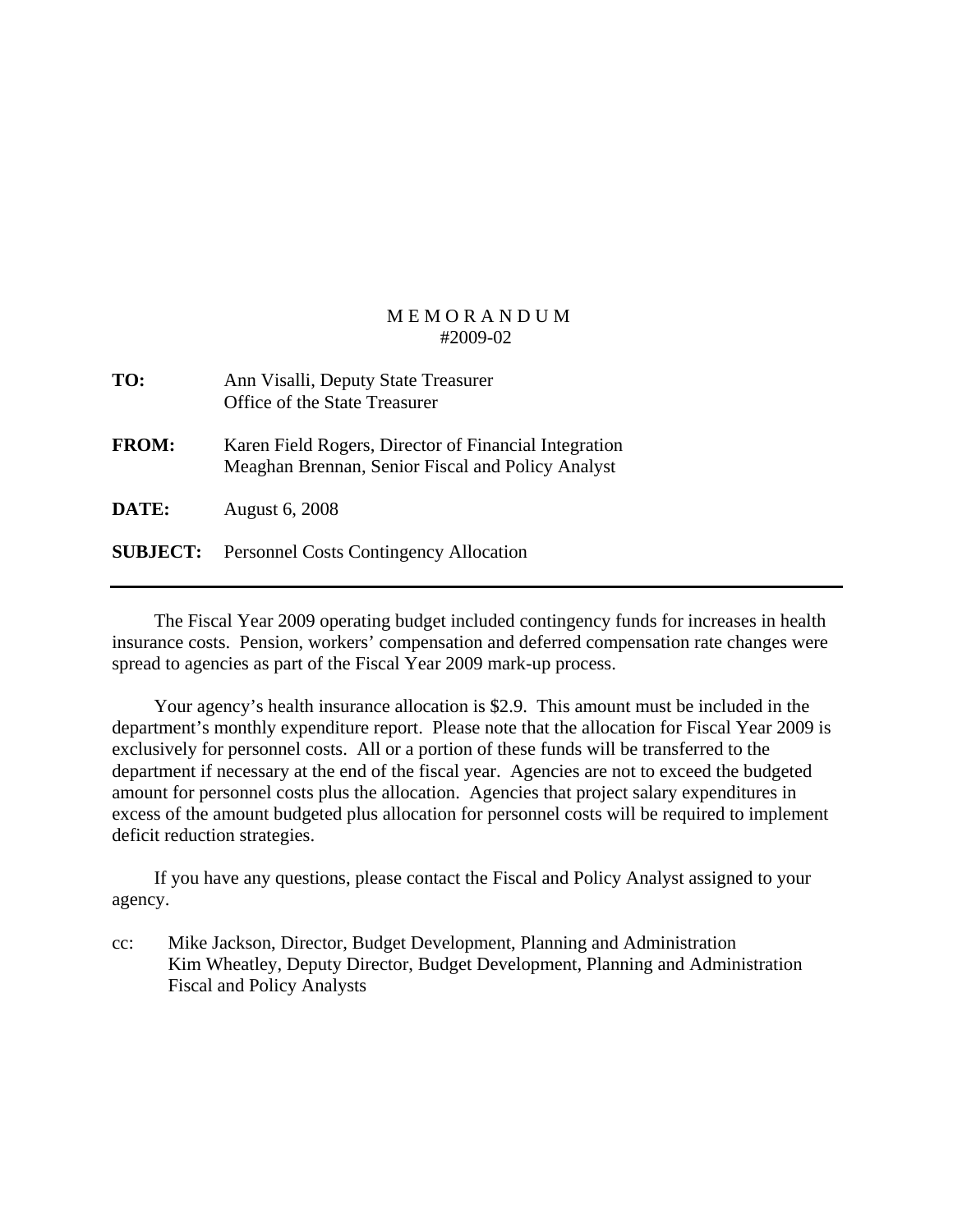| TO:             | Ann Visalli, Deputy State Treasurer<br>Office of the State Treasurer                                       |
|-----------------|------------------------------------------------------------------------------------------------------------|
| <b>FROM:</b>    | Karen Field Rogers, Director of Financial Integration<br>Meaghan Brennan, Senior Fiscal and Policy Analyst |
| DATE:           | <b>August 6, 2008</b>                                                                                      |
| <b>SUBJECT:</b> | <b>Personnel Costs Contingency Allocation</b>                                                              |

 The Fiscal Year 2009 operating budget included contingency funds for increases in health insurance costs. Pension, workers' compensation and deferred compensation rate changes were spread to agencies as part of the Fiscal Year 2009 mark-up process.

 Your agency's health insurance allocation is \$2.9. This amount must be included in the department's monthly expenditure report. Please note that the allocation for Fiscal Year 2009 is exclusively for personnel costs. All or a portion of these funds will be transferred to the department if necessary at the end of the fiscal year. Agencies are not to exceed the budgeted amount for personnel costs plus the allocation. Agencies that project salary expenditures in excess of the amount budgeted plus allocation for personnel costs will be required to implement deficit reduction strategies.

 If you have any questions, please contact the Fiscal and Policy Analyst assigned to your agency.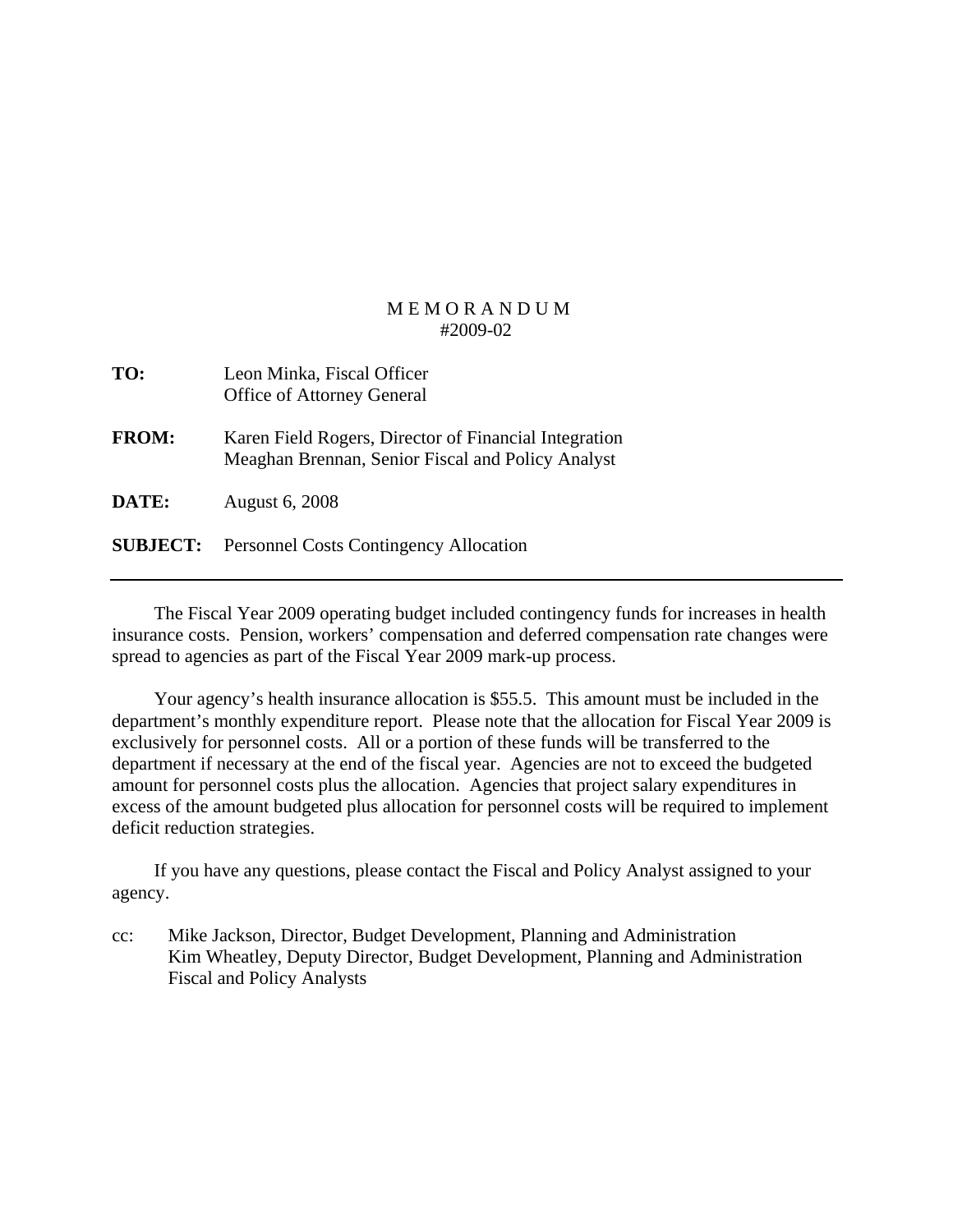| TO:          | Leon Minka, Fiscal Officer<br><b>Office of Attorney General</b>                                            |
|--------------|------------------------------------------------------------------------------------------------------------|
| <b>FROM:</b> | Karen Field Rogers, Director of Financial Integration<br>Meaghan Brennan, Senior Fiscal and Policy Analyst |
| <b>DATE:</b> | <b>August 6, 2008</b>                                                                                      |
|              | <b>SUBJECT:</b> Personnel Costs Contingency Allocation                                                     |
|              |                                                                                                            |

 The Fiscal Year 2009 operating budget included contingency funds for increases in health insurance costs. Pension, workers' compensation and deferred compensation rate changes were spread to agencies as part of the Fiscal Year 2009 mark-up process.

 Your agency's health insurance allocation is \$55.5. This amount must be included in the department's monthly expenditure report. Please note that the allocation for Fiscal Year 2009 is exclusively for personnel costs. All or a portion of these funds will be transferred to the department if necessary at the end of the fiscal year. Agencies are not to exceed the budgeted amount for personnel costs plus the allocation. Agencies that project salary expenditures in excess of the amount budgeted plus allocation for personnel costs will be required to implement deficit reduction strategies.

 If you have any questions, please contact the Fiscal and Policy Analyst assigned to your agency.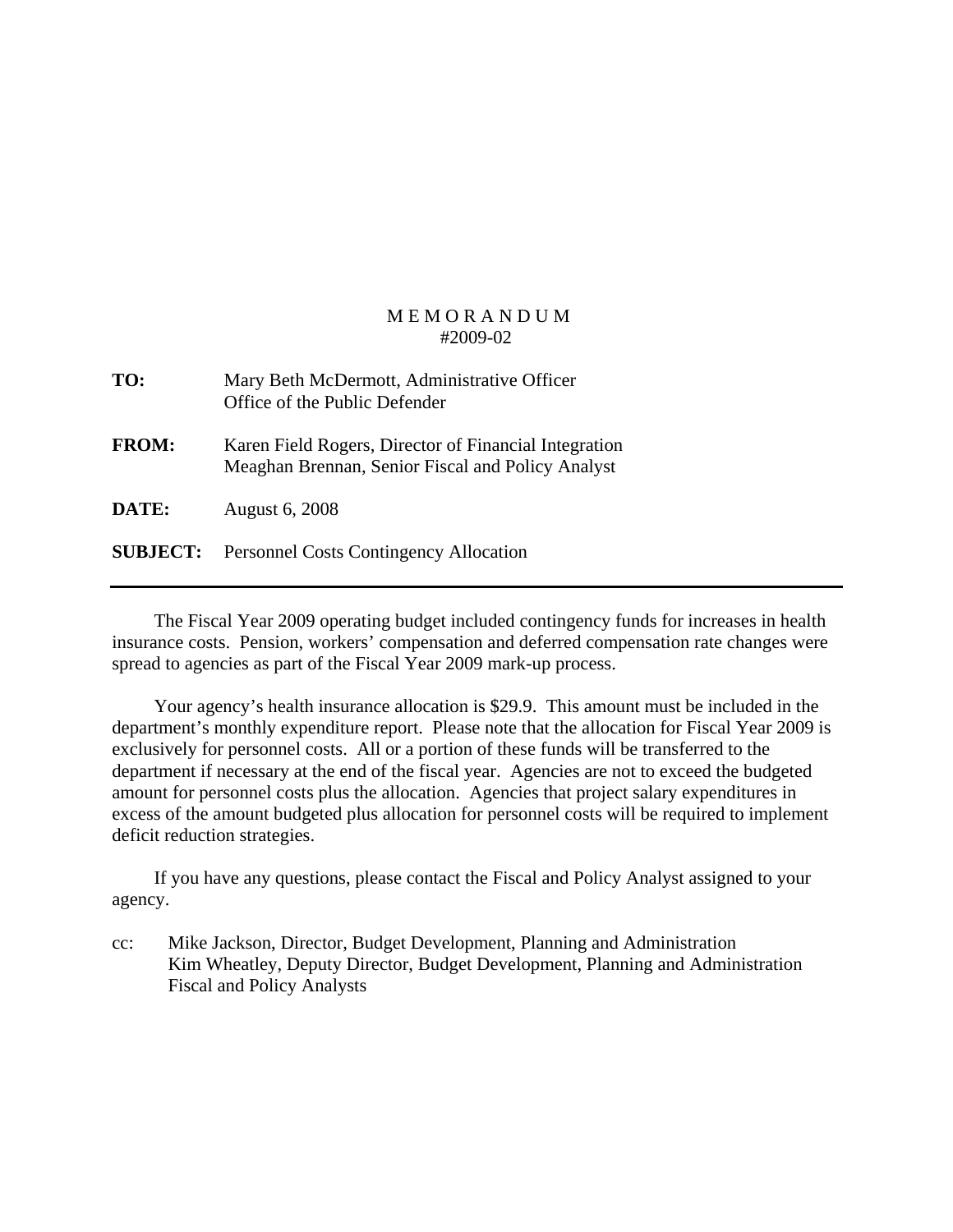| TO:             | Mary Beth McDermott, Administrative Officer<br>Office of the Public Defender                               |
|-----------------|------------------------------------------------------------------------------------------------------------|
| <b>FROM:</b>    | Karen Field Rogers, Director of Financial Integration<br>Meaghan Brennan, Senior Fiscal and Policy Analyst |
| DATE:           | <b>August 6, 2008</b>                                                                                      |
| <b>SUBJECT:</b> | <b>Personnel Costs Contingency Allocation</b>                                                              |

 The Fiscal Year 2009 operating budget included contingency funds for increases in health insurance costs. Pension, workers' compensation and deferred compensation rate changes were spread to agencies as part of the Fiscal Year 2009 mark-up process.

 Your agency's health insurance allocation is \$29.9. This amount must be included in the department's monthly expenditure report. Please note that the allocation for Fiscal Year 2009 is exclusively for personnel costs. All or a portion of these funds will be transferred to the department if necessary at the end of the fiscal year. Agencies are not to exceed the budgeted amount for personnel costs plus the allocation. Agencies that project salary expenditures in excess of the amount budgeted plus allocation for personnel costs will be required to implement deficit reduction strategies.

 If you have any questions, please contact the Fiscal and Policy Analyst assigned to your agency.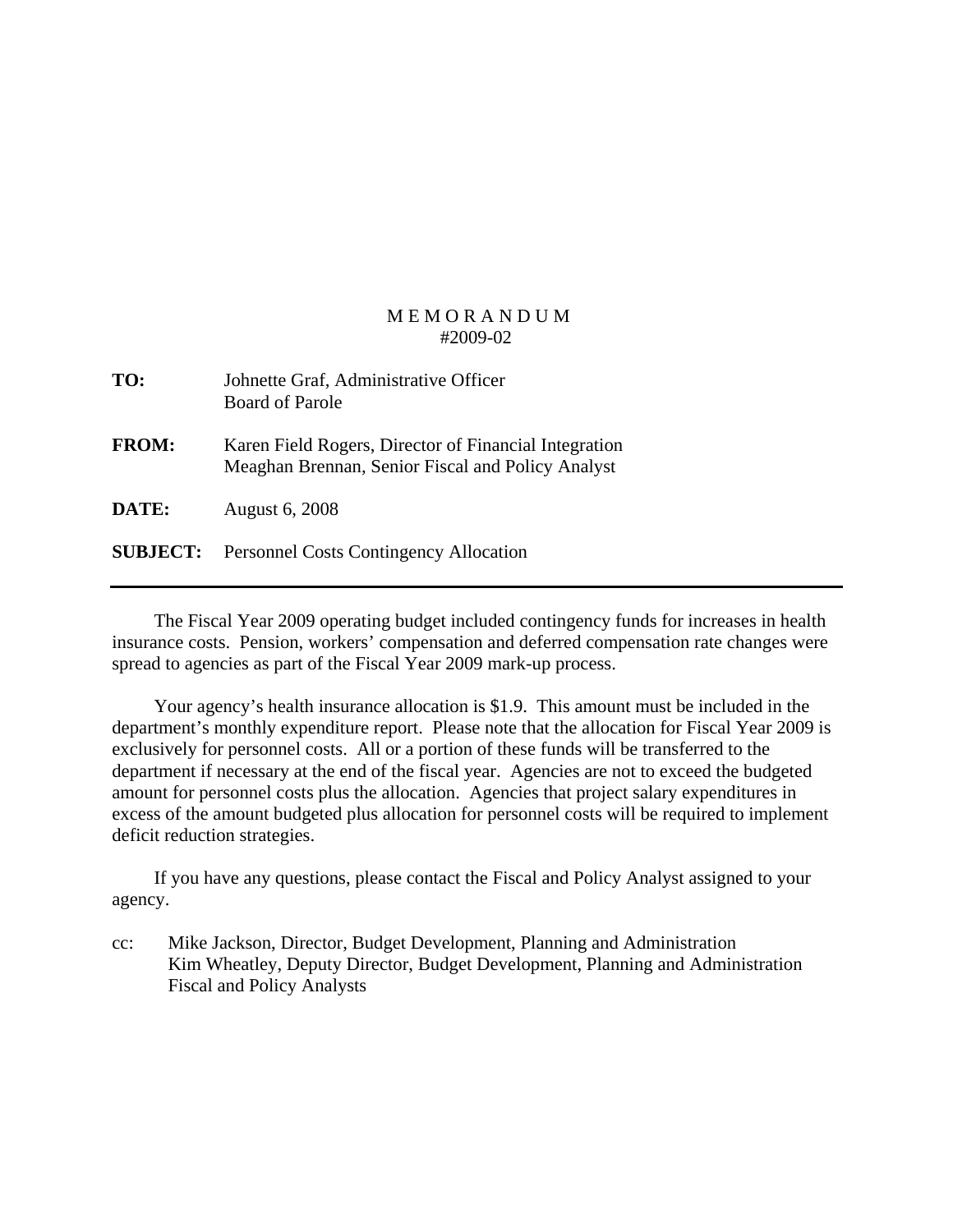| TO:             | Johnette Graf, Administrative Officer<br><b>Board of Parole</b>                                            |
|-----------------|------------------------------------------------------------------------------------------------------------|
| <b>FROM:</b>    | Karen Field Rogers, Director of Financial Integration<br>Meaghan Brennan, Senior Fiscal and Policy Analyst |
| DATE:           | <b>August 6, 2008</b>                                                                                      |
| <b>SUBJECT:</b> | <b>Personnel Costs Contingency Allocation</b>                                                              |

 The Fiscal Year 2009 operating budget included contingency funds for increases in health insurance costs. Pension, workers' compensation and deferred compensation rate changes were spread to agencies as part of the Fiscal Year 2009 mark-up process.

 Your agency's health insurance allocation is \$1.9. This amount must be included in the department's monthly expenditure report. Please note that the allocation for Fiscal Year 2009 is exclusively for personnel costs. All or a portion of these funds will be transferred to the department if necessary at the end of the fiscal year. Agencies are not to exceed the budgeted amount for personnel costs plus the allocation. Agencies that project salary expenditures in excess of the amount budgeted plus allocation for personnel costs will be required to implement deficit reduction strategies.

 If you have any questions, please contact the Fiscal and Policy Analyst assigned to your agency.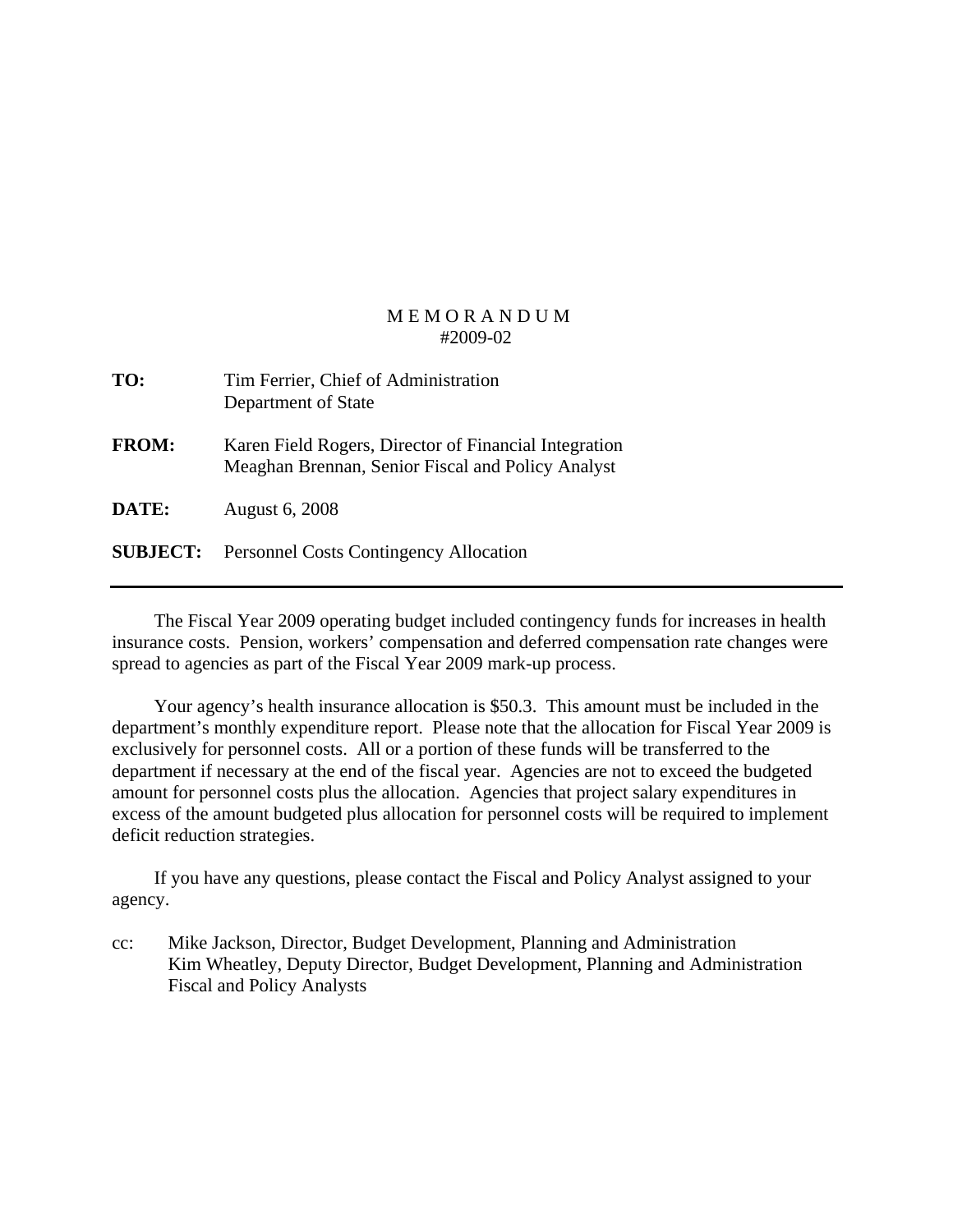| TO:             | Tim Ferrier, Chief of Administration<br>Department of State                                                |
|-----------------|------------------------------------------------------------------------------------------------------------|
| <b>FROM:</b>    | Karen Field Rogers, Director of Financial Integration<br>Meaghan Brennan, Senior Fiscal and Policy Analyst |
| DATE:           | <b>August 6, 2008</b>                                                                                      |
| <b>SUBJECT:</b> | <b>Personnel Costs Contingency Allocation</b>                                                              |

 The Fiscal Year 2009 operating budget included contingency funds for increases in health insurance costs. Pension, workers' compensation and deferred compensation rate changes were spread to agencies as part of the Fiscal Year 2009 mark-up process.

 Your agency's health insurance allocation is \$50.3. This amount must be included in the department's monthly expenditure report. Please note that the allocation for Fiscal Year 2009 is exclusively for personnel costs. All or a portion of these funds will be transferred to the department if necessary at the end of the fiscal year. Agencies are not to exceed the budgeted amount for personnel costs plus the allocation. Agencies that project salary expenditures in excess of the amount budgeted plus allocation for personnel costs will be required to implement deficit reduction strategies.

 If you have any questions, please contact the Fiscal and Policy Analyst assigned to your agency.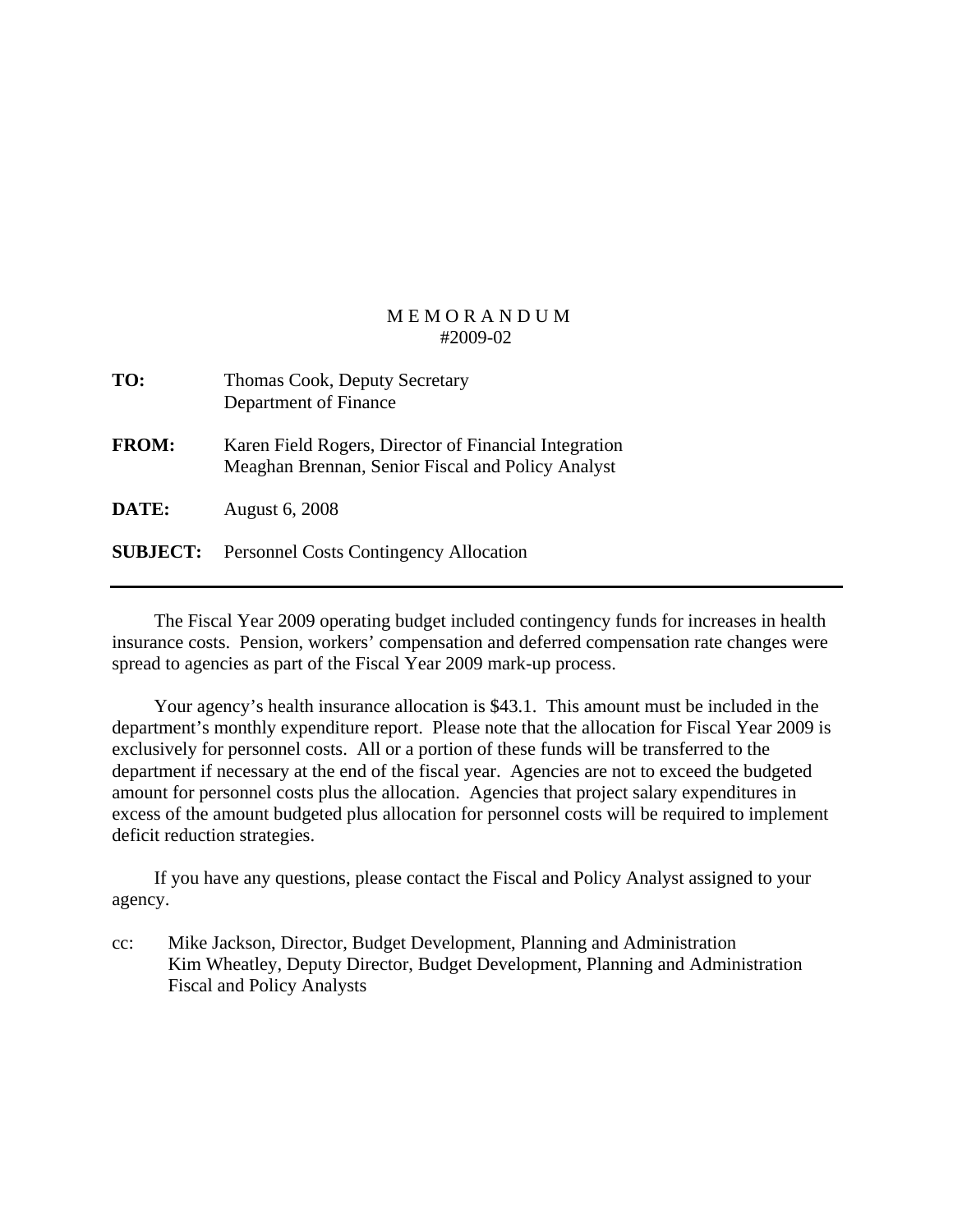| TO:          | Thomas Cook, Deputy Secretary<br>Department of Finance                                                     |
|--------------|------------------------------------------------------------------------------------------------------------|
| <b>FROM:</b> | Karen Field Rogers, Director of Financial Integration<br>Meaghan Brennan, Senior Fiscal and Policy Analyst |
| DATE:        | <b>August 6, 2008</b>                                                                                      |
|              | <b>SUBJECT:</b> Personnel Costs Contingency Allocation                                                     |

 The Fiscal Year 2009 operating budget included contingency funds for increases in health insurance costs. Pension, workers' compensation and deferred compensation rate changes were spread to agencies as part of the Fiscal Year 2009 mark-up process.

 Your agency's health insurance allocation is \$43.1. This amount must be included in the department's monthly expenditure report. Please note that the allocation for Fiscal Year 2009 is exclusively for personnel costs. All or a portion of these funds will be transferred to the department if necessary at the end of the fiscal year. Agencies are not to exceed the budgeted amount for personnel costs plus the allocation. Agencies that project salary expenditures in excess of the amount budgeted plus allocation for personnel costs will be required to implement deficit reduction strategies.

 If you have any questions, please contact the Fiscal and Policy Analyst assigned to your agency.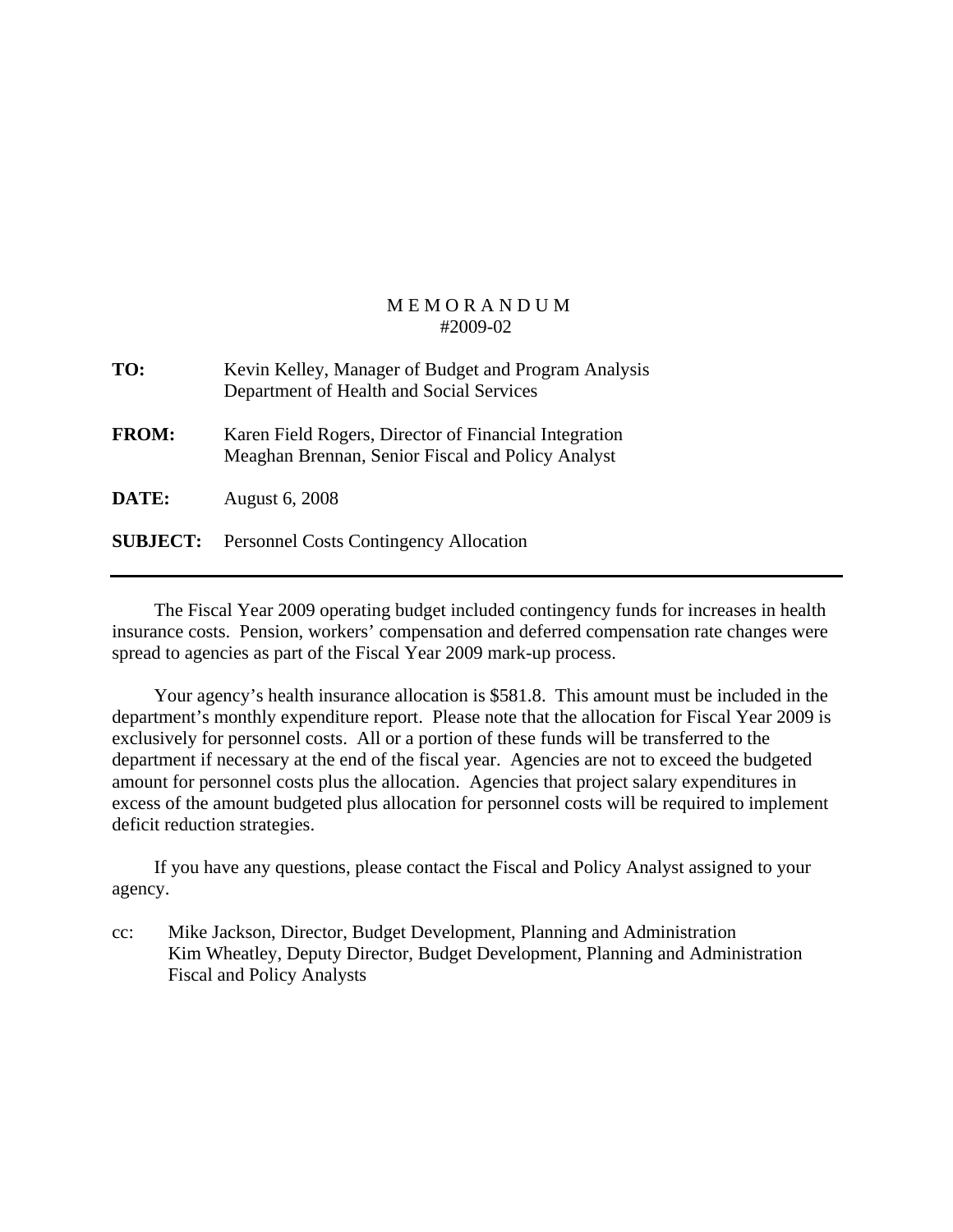| TO:             | Kevin Kelley, Manager of Budget and Program Analysis<br>Department of Health and Social Services           |
|-----------------|------------------------------------------------------------------------------------------------------------|
| <b>FROM:</b>    | Karen Field Rogers, Director of Financial Integration<br>Meaghan Brennan, Senior Fiscal and Policy Analyst |
| DATE:           | <b>August 6, 2008</b>                                                                                      |
| <b>SUBJECT:</b> | <b>Personnel Costs Contingency Allocation</b>                                                              |

 The Fiscal Year 2009 operating budget included contingency funds for increases in health insurance costs. Pension, workers' compensation and deferred compensation rate changes were spread to agencies as part of the Fiscal Year 2009 mark-up process.

 Your agency's health insurance allocation is \$581.8. This amount must be included in the department's monthly expenditure report. Please note that the allocation for Fiscal Year 2009 is exclusively for personnel costs. All or a portion of these funds will be transferred to the department if necessary at the end of the fiscal year. Agencies are not to exceed the budgeted amount for personnel costs plus the allocation. Agencies that project salary expenditures in excess of the amount budgeted plus allocation for personnel costs will be required to implement deficit reduction strategies.

 If you have any questions, please contact the Fiscal and Policy Analyst assigned to your agency.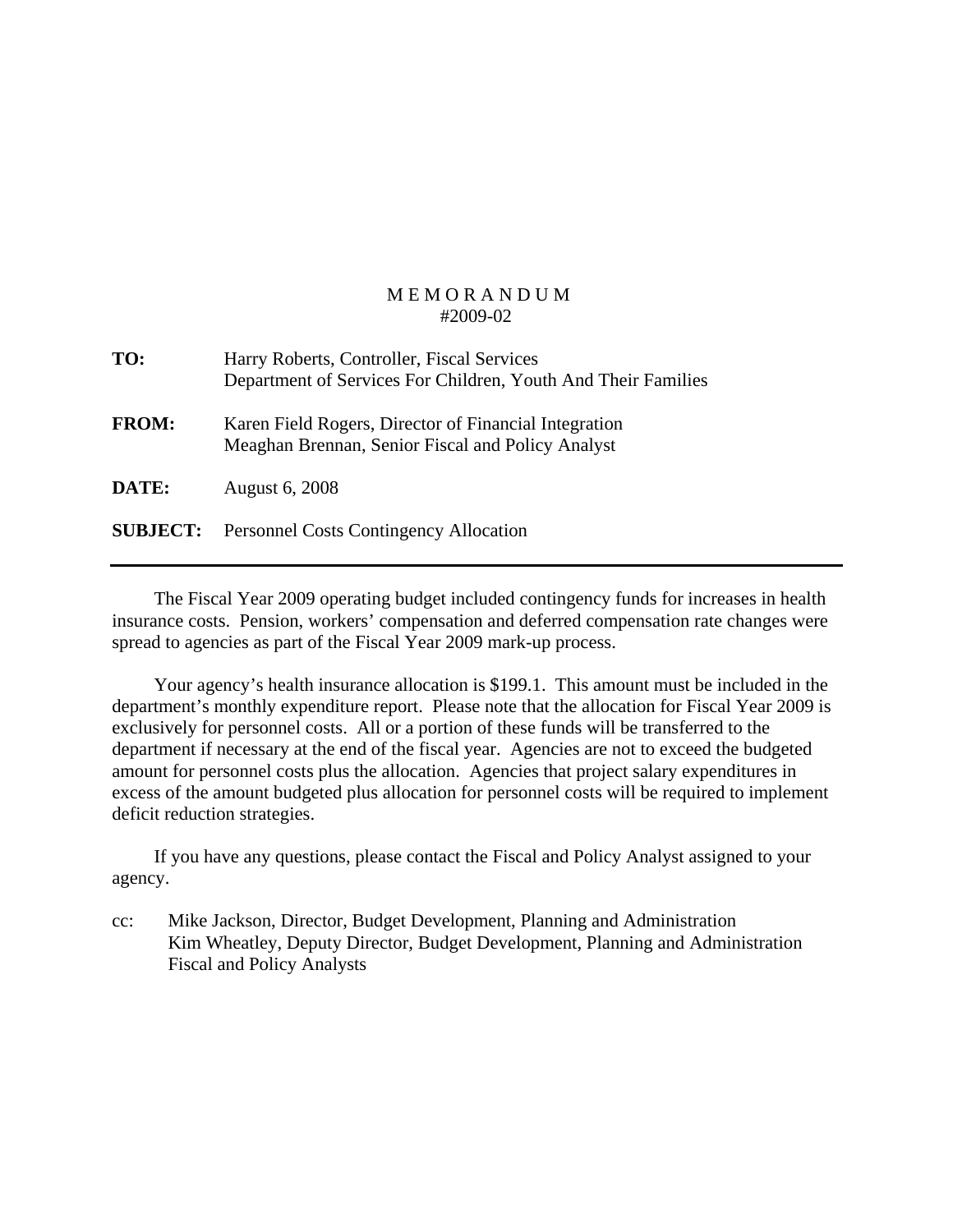| TO:             | Harry Roberts, Controller, Fiscal Services<br>Department of Services For Children, Youth And Their Families |
|-----------------|-------------------------------------------------------------------------------------------------------------|
| <b>FROM:</b>    | Karen Field Rogers, Director of Financial Integration<br>Meaghan Brennan, Senior Fiscal and Policy Analyst  |
| DATE:           | <b>August 6, 2008</b>                                                                                       |
| <b>SUBJECT:</b> | <b>Personnel Costs Contingency Allocation</b>                                                               |

 The Fiscal Year 2009 operating budget included contingency funds for increases in health insurance costs. Pension, workers' compensation and deferred compensation rate changes were spread to agencies as part of the Fiscal Year 2009 mark-up process.

 Your agency's health insurance allocation is \$199.1. This amount must be included in the department's monthly expenditure report. Please note that the allocation for Fiscal Year 2009 is exclusively for personnel costs. All or a portion of these funds will be transferred to the department if necessary at the end of the fiscal year. Agencies are not to exceed the budgeted amount for personnel costs plus the allocation. Agencies that project salary expenditures in excess of the amount budgeted plus allocation for personnel costs will be required to implement deficit reduction strategies.

 If you have any questions, please contact the Fiscal and Policy Analyst assigned to your agency.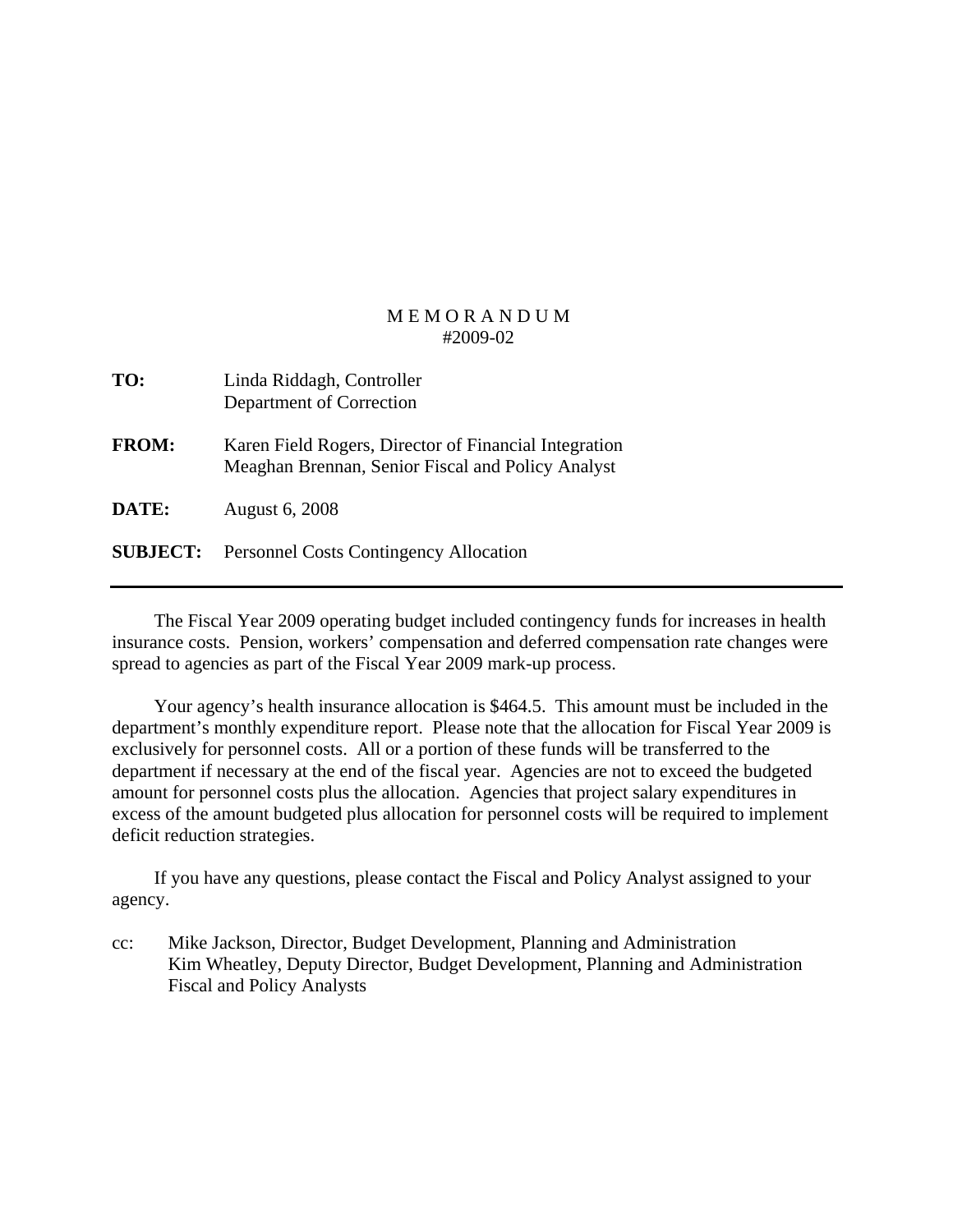| TO:             | Linda Riddagh, Controller<br>Department of Correction                                                      |
|-----------------|------------------------------------------------------------------------------------------------------------|
| <b>FROM:</b>    | Karen Field Rogers, Director of Financial Integration<br>Meaghan Brennan, Senior Fiscal and Policy Analyst |
| DATE:           | <b>August 6, 2008</b>                                                                                      |
| <b>SUBJECT:</b> | <b>Personnel Costs Contingency Allocation</b>                                                              |

 The Fiscal Year 2009 operating budget included contingency funds for increases in health insurance costs. Pension, workers' compensation and deferred compensation rate changes were spread to agencies as part of the Fiscal Year 2009 mark-up process.

 Your agency's health insurance allocation is \$464.5. This amount must be included in the department's monthly expenditure report. Please note that the allocation for Fiscal Year 2009 is exclusively for personnel costs. All or a portion of these funds will be transferred to the department if necessary at the end of the fiscal year. Agencies are not to exceed the budgeted amount for personnel costs plus the allocation. Agencies that project salary expenditures in excess of the amount budgeted plus allocation for personnel costs will be required to implement deficit reduction strategies.

 If you have any questions, please contact the Fiscal and Policy Analyst assigned to your agency.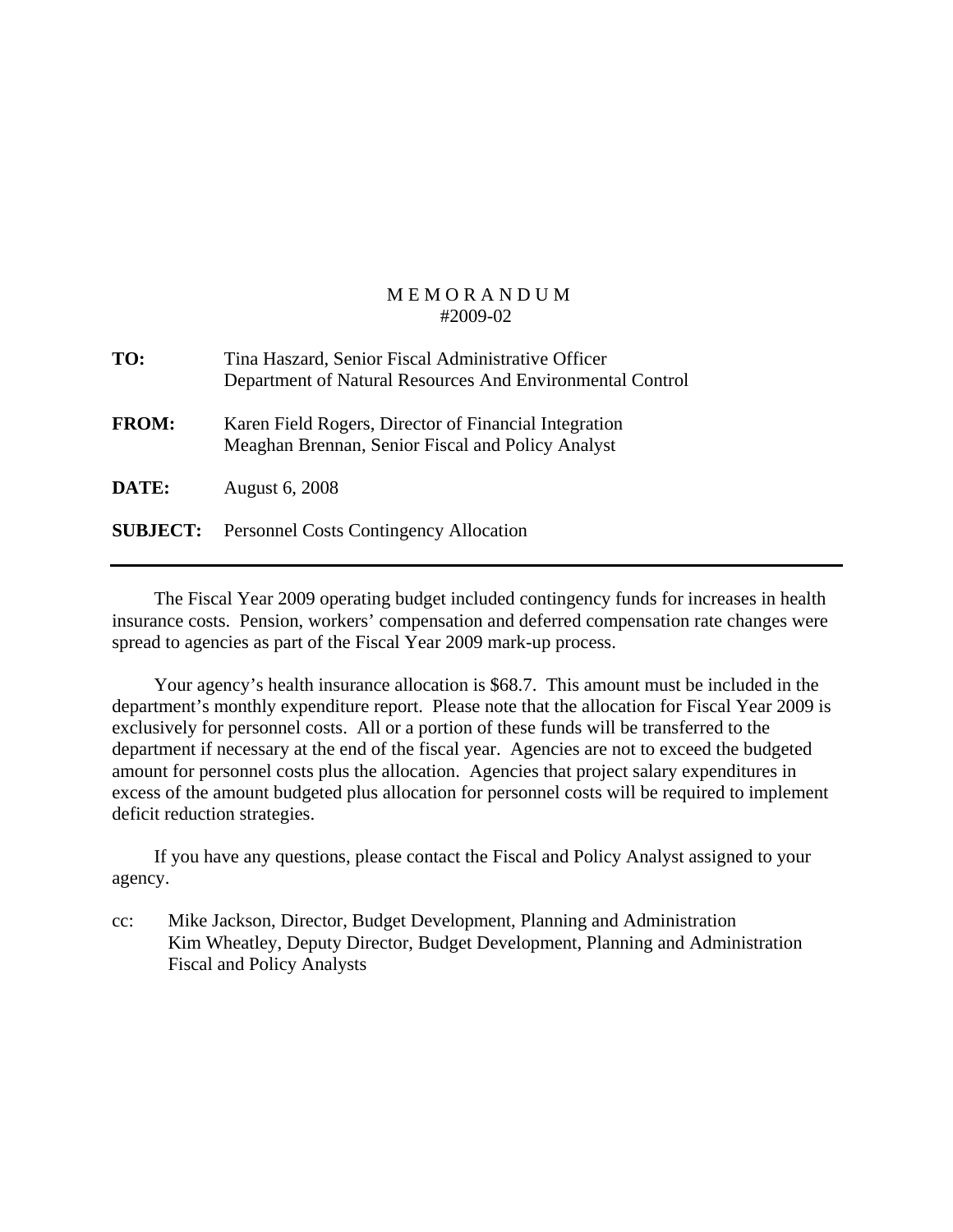| TO:             | Tina Haszard, Senior Fiscal Administrative Officer<br>Department of Natural Resources And Environmental Control |
|-----------------|-----------------------------------------------------------------------------------------------------------------|
| <b>FROM:</b>    | Karen Field Rogers, Director of Financial Integration<br>Meaghan Brennan, Senior Fiscal and Policy Analyst      |
| DATE:           | <b>August 6, 2008</b>                                                                                           |
| <b>SUBJECT:</b> | <b>Personnel Costs Contingency Allocation</b>                                                                   |

 The Fiscal Year 2009 operating budget included contingency funds for increases in health insurance costs. Pension, workers' compensation and deferred compensation rate changes were spread to agencies as part of the Fiscal Year 2009 mark-up process.

 Your agency's health insurance allocation is \$68.7. This amount must be included in the department's monthly expenditure report. Please note that the allocation for Fiscal Year 2009 is exclusively for personnel costs. All or a portion of these funds will be transferred to the department if necessary at the end of the fiscal year. Agencies are not to exceed the budgeted amount for personnel costs plus the allocation. Agencies that project salary expenditures in excess of the amount budgeted plus allocation for personnel costs will be required to implement deficit reduction strategies.

 If you have any questions, please contact the Fiscal and Policy Analyst assigned to your agency.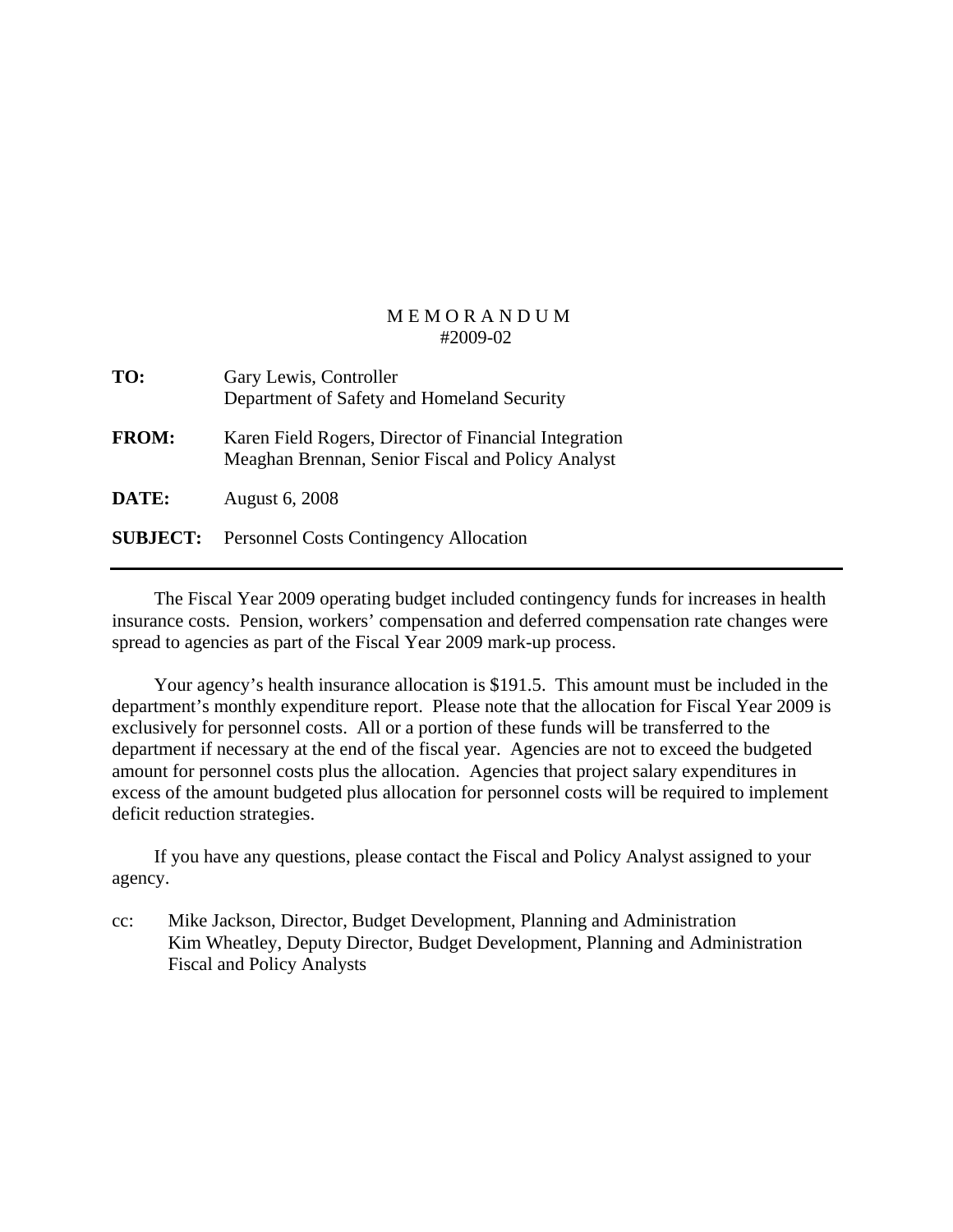| TO:             | Gary Lewis, Controller<br>Department of Safety and Homeland Security                                       |
|-----------------|------------------------------------------------------------------------------------------------------------|
| <b>FROM:</b>    | Karen Field Rogers, Director of Financial Integration<br>Meaghan Brennan, Senior Fiscal and Policy Analyst |
| DATE:           | <b>August 6, 2008</b>                                                                                      |
| <b>SUBJECT:</b> | <b>Personnel Costs Contingency Allocation</b>                                                              |

 The Fiscal Year 2009 operating budget included contingency funds for increases in health insurance costs. Pension, workers' compensation and deferred compensation rate changes were spread to agencies as part of the Fiscal Year 2009 mark-up process.

 Your agency's health insurance allocation is \$191.5. This amount must be included in the department's monthly expenditure report. Please note that the allocation for Fiscal Year 2009 is exclusively for personnel costs. All or a portion of these funds will be transferred to the department if necessary at the end of the fiscal year. Agencies are not to exceed the budgeted amount for personnel costs plus the allocation. Agencies that project salary expenditures in excess of the amount budgeted plus allocation for personnel costs will be required to implement deficit reduction strategies.

 If you have any questions, please contact the Fiscal and Policy Analyst assigned to your agency.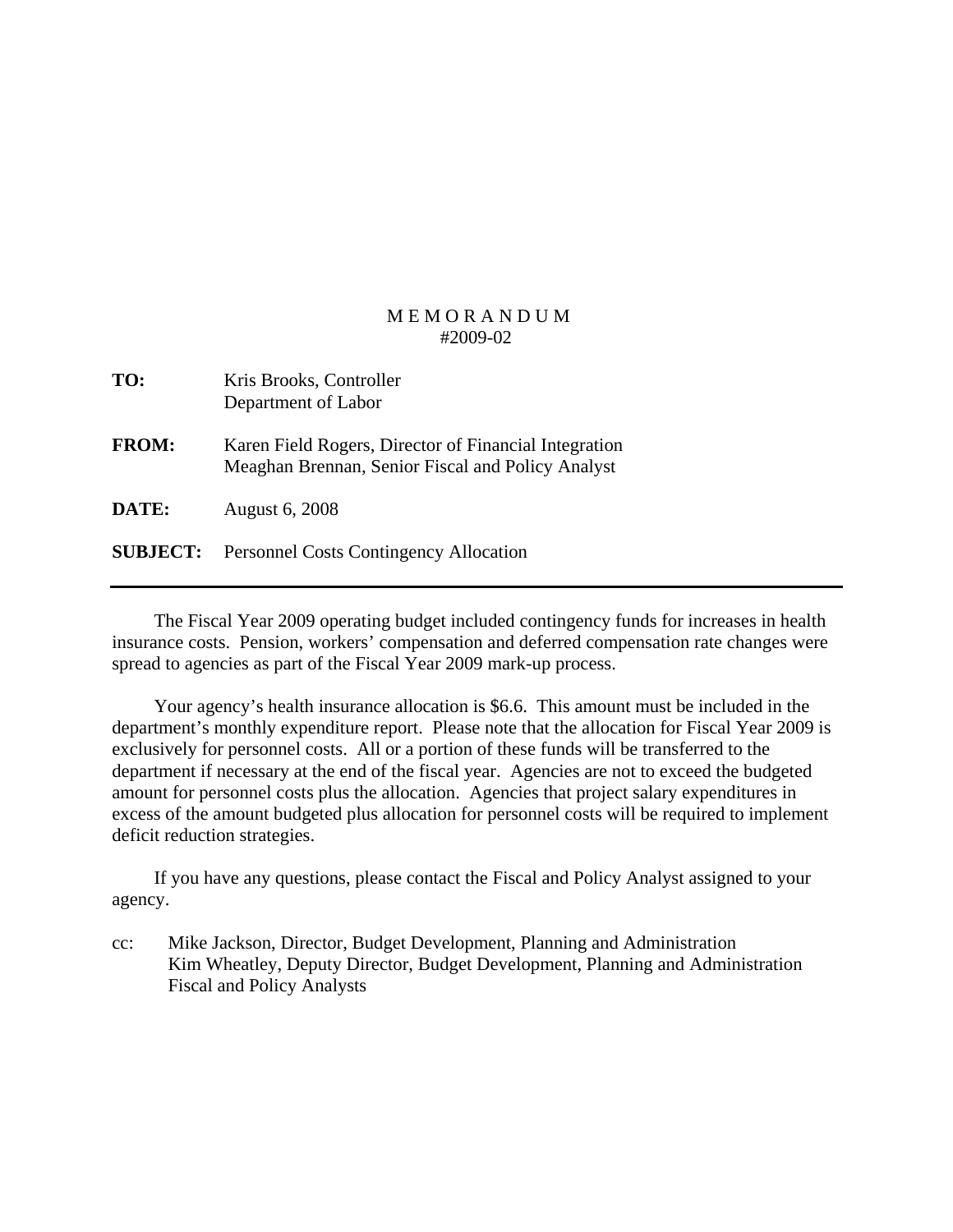| TO:             | Kris Brooks, Controller<br>Department of Labor                                                             |
|-----------------|------------------------------------------------------------------------------------------------------------|
| <b>FROM:</b>    | Karen Field Rogers, Director of Financial Integration<br>Meaghan Brennan, Senior Fiscal and Policy Analyst |
| DATE:           | <b>August 6, 2008</b>                                                                                      |
| <b>SUBJECT:</b> | <b>Personnel Costs Contingency Allocation</b>                                                              |

 The Fiscal Year 2009 operating budget included contingency funds for increases in health insurance costs. Pension, workers' compensation and deferred compensation rate changes were spread to agencies as part of the Fiscal Year 2009 mark-up process.

 Your agency's health insurance allocation is \$6.6. This amount must be included in the department's monthly expenditure report. Please note that the allocation for Fiscal Year 2009 is exclusively for personnel costs. All or a portion of these funds will be transferred to the department if necessary at the end of the fiscal year. Agencies are not to exceed the budgeted amount for personnel costs plus the allocation. Agencies that project salary expenditures in excess of the amount budgeted plus allocation for personnel costs will be required to implement deficit reduction strategies.

 If you have any questions, please contact the Fiscal and Policy Analyst assigned to your agency.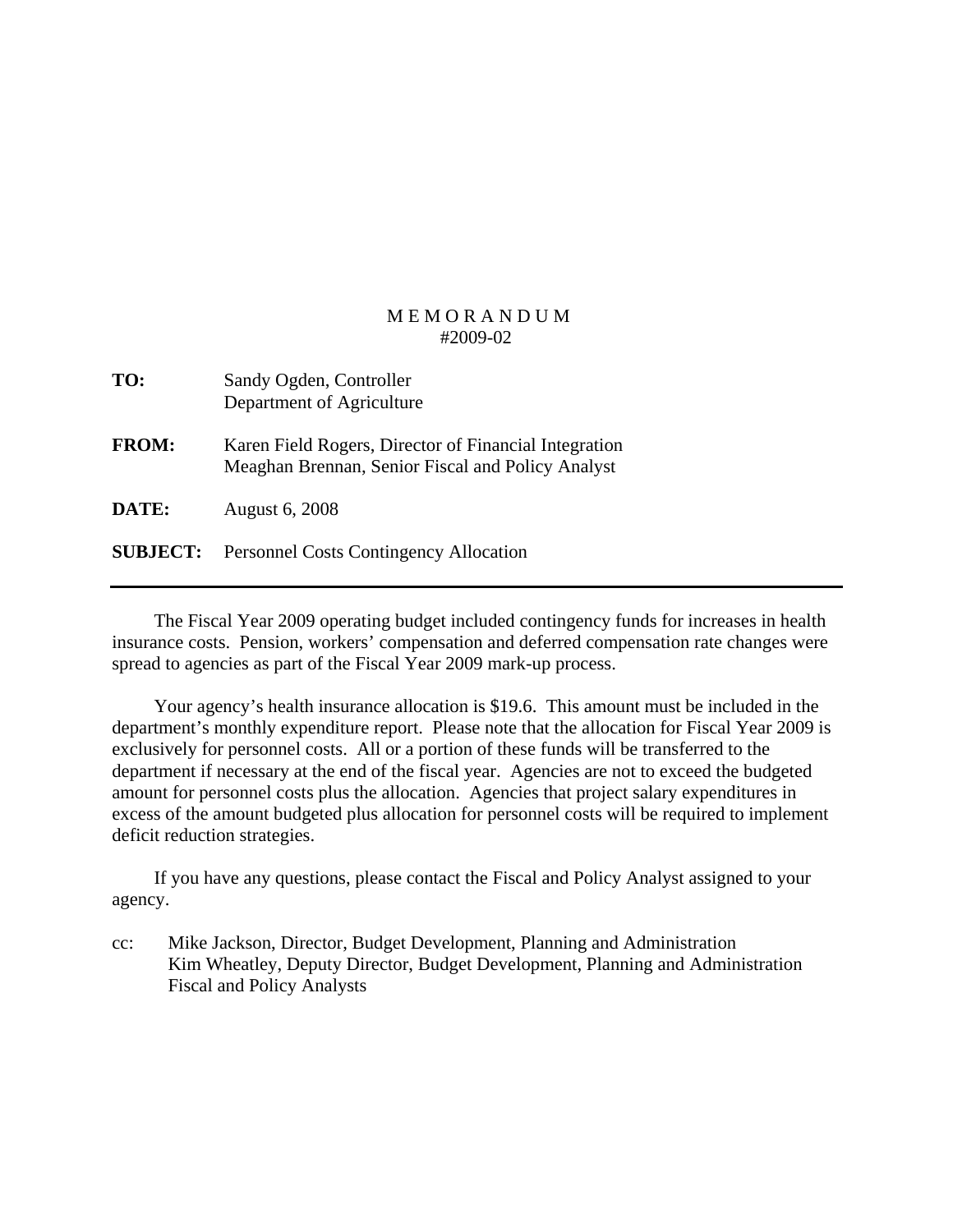| TO:             | Sandy Ogden, Controller<br>Department of Agriculture                                                       |
|-----------------|------------------------------------------------------------------------------------------------------------|
| <b>FROM:</b>    | Karen Field Rogers, Director of Financial Integration<br>Meaghan Brennan, Senior Fiscal and Policy Analyst |
| DATE:           | <b>August 6, 2008</b>                                                                                      |
| <b>SUBJECT:</b> | <b>Personnel Costs Contingency Allocation</b>                                                              |

 The Fiscal Year 2009 operating budget included contingency funds for increases in health insurance costs. Pension, workers' compensation and deferred compensation rate changes were spread to agencies as part of the Fiscal Year 2009 mark-up process.

 Your agency's health insurance allocation is \$19.6. This amount must be included in the department's monthly expenditure report. Please note that the allocation for Fiscal Year 2009 is exclusively for personnel costs. All or a portion of these funds will be transferred to the department if necessary at the end of the fiscal year. Agencies are not to exceed the budgeted amount for personnel costs plus the allocation. Agencies that project salary expenditures in excess of the amount budgeted plus allocation for personnel costs will be required to implement deficit reduction strategies.

 If you have any questions, please contact the Fiscal and Policy Analyst assigned to your agency.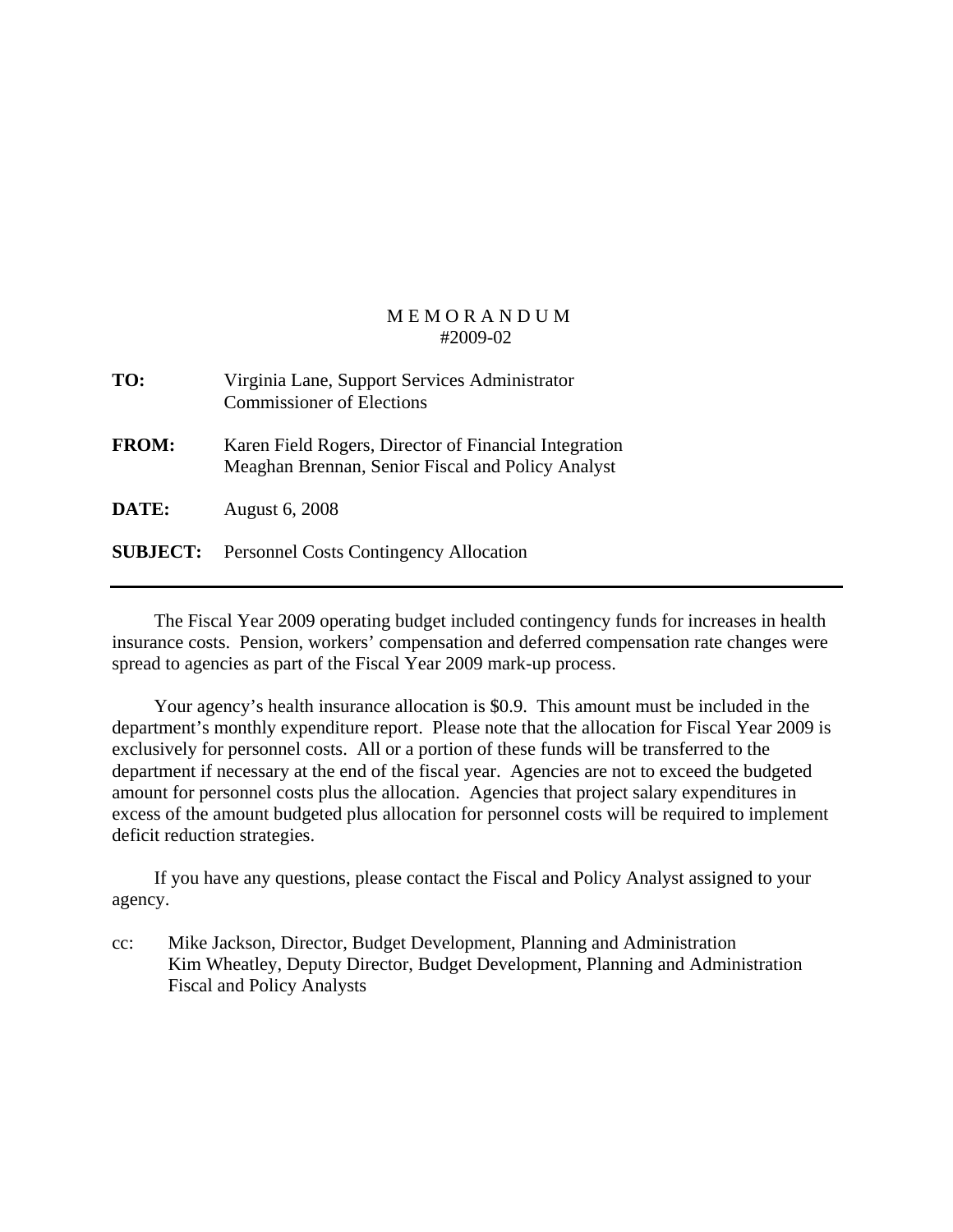| TO:             | Virginia Lane, Support Services Administrator<br><b>Commissioner of Elections</b>                          |
|-----------------|------------------------------------------------------------------------------------------------------------|
| <b>FROM:</b>    | Karen Field Rogers, Director of Financial Integration<br>Meaghan Brennan, Senior Fiscal and Policy Analyst |
| DATE:           | <b>August 6, 2008</b>                                                                                      |
| <b>SUBJECT:</b> | <b>Personnel Costs Contingency Allocation</b>                                                              |

 The Fiscal Year 2009 operating budget included contingency funds for increases in health insurance costs. Pension, workers' compensation and deferred compensation rate changes were spread to agencies as part of the Fiscal Year 2009 mark-up process.

 Your agency's health insurance allocation is \$0.9. This amount must be included in the department's monthly expenditure report. Please note that the allocation for Fiscal Year 2009 is exclusively for personnel costs. All or a portion of these funds will be transferred to the department if necessary at the end of the fiscal year. Agencies are not to exceed the budgeted amount for personnel costs plus the allocation. Agencies that project salary expenditures in excess of the amount budgeted plus allocation for personnel costs will be required to implement deficit reduction strategies.

 If you have any questions, please contact the Fiscal and Policy Analyst assigned to your agency.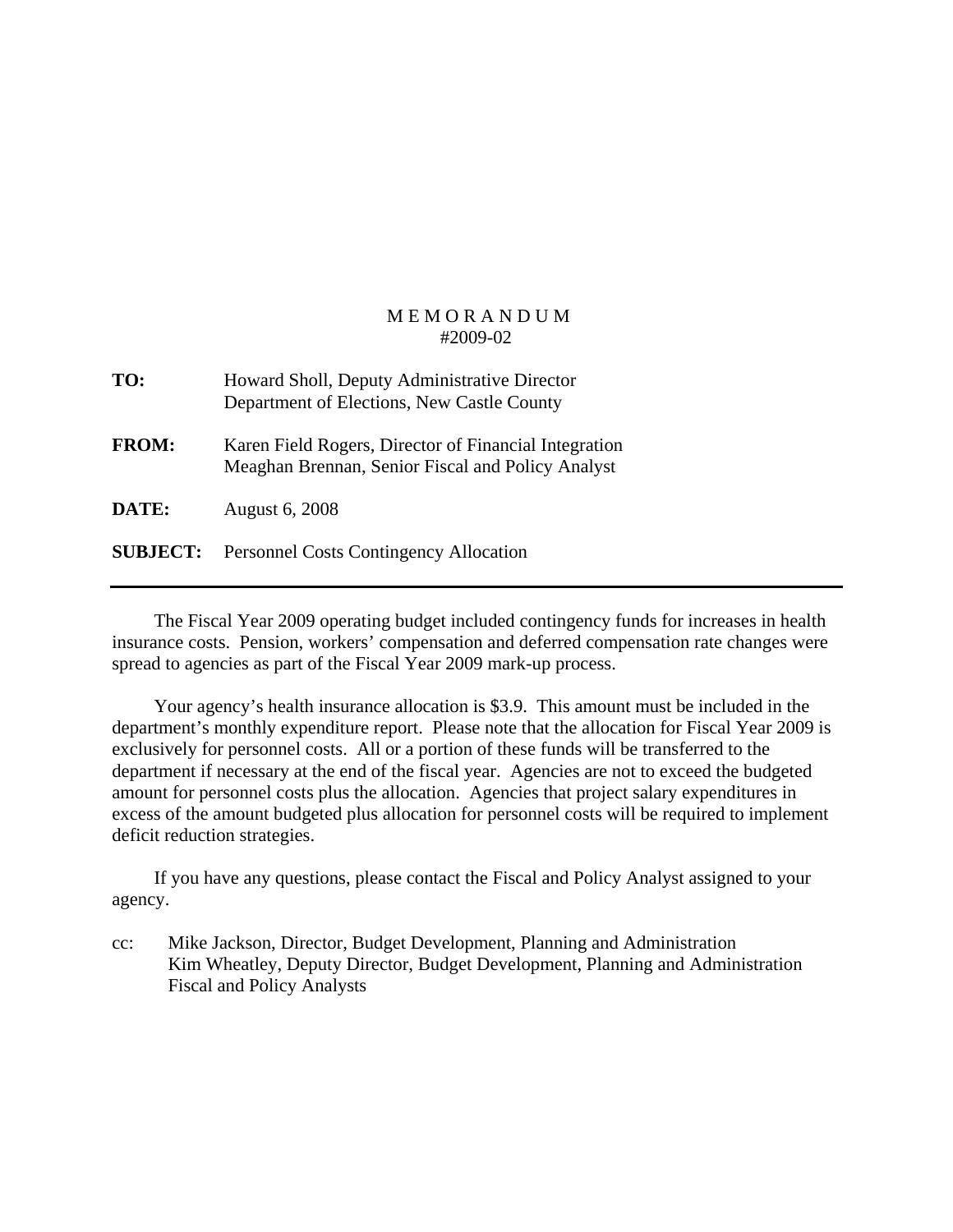| TO:             | Howard Sholl, Deputy Administrative Director<br>Department of Elections, New Castle County                 |
|-----------------|------------------------------------------------------------------------------------------------------------|
| <b>FROM:</b>    | Karen Field Rogers, Director of Financial Integration<br>Meaghan Brennan, Senior Fiscal and Policy Analyst |
| DATE:           | <b>August 6, 2008</b>                                                                                      |
| <b>SUBJECT:</b> | <b>Personnel Costs Contingency Allocation</b>                                                              |

 The Fiscal Year 2009 operating budget included contingency funds for increases in health insurance costs. Pension, workers' compensation and deferred compensation rate changes were spread to agencies as part of the Fiscal Year 2009 mark-up process.

 Your agency's health insurance allocation is \$3.9. This amount must be included in the department's monthly expenditure report. Please note that the allocation for Fiscal Year 2009 is exclusively for personnel costs. All or a portion of these funds will be transferred to the department if necessary at the end of the fiscal year. Agencies are not to exceed the budgeted amount for personnel costs plus the allocation. Agencies that project salary expenditures in excess of the amount budgeted plus allocation for personnel costs will be required to implement deficit reduction strategies.

 If you have any questions, please contact the Fiscal and Policy Analyst assigned to your agency.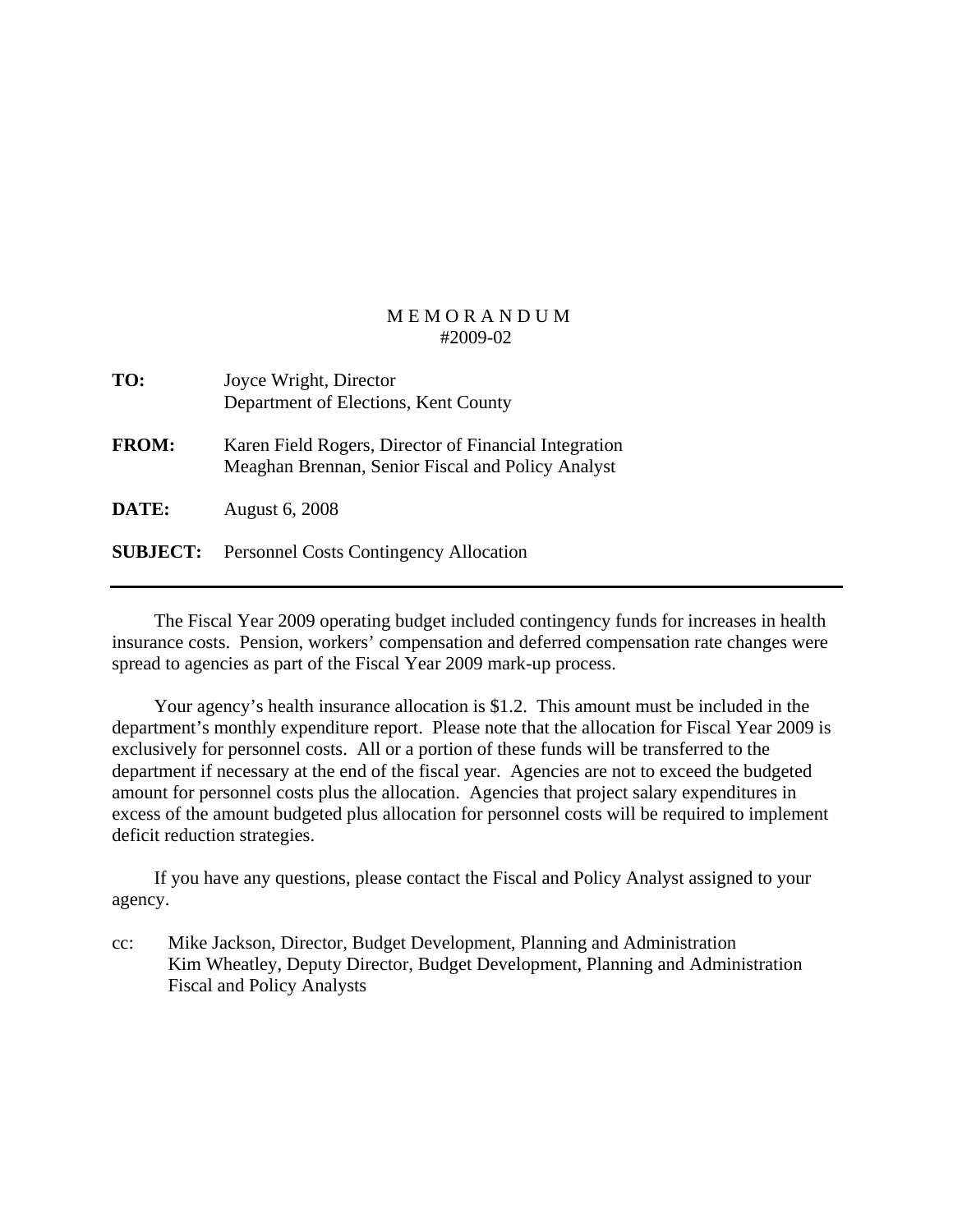| TO:             | Joyce Wright, Director<br>Department of Elections, Kent County                                             |
|-----------------|------------------------------------------------------------------------------------------------------------|
| <b>FROM:</b>    | Karen Field Rogers, Director of Financial Integration<br>Meaghan Brennan, Senior Fiscal and Policy Analyst |
| DATE:           | <b>August 6, 2008</b>                                                                                      |
| <b>SUBJECT:</b> | <b>Personnel Costs Contingency Allocation</b>                                                              |

 The Fiscal Year 2009 operating budget included contingency funds for increases in health insurance costs. Pension, workers' compensation and deferred compensation rate changes were spread to agencies as part of the Fiscal Year 2009 mark-up process.

 Your agency's health insurance allocation is \$1.2. This amount must be included in the department's monthly expenditure report. Please note that the allocation for Fiscal Year 2009 is exclusively for personnel costs. All or a portion of these funds will be transferred to the department if necessary at the end of the fiscal year. Agencies are not to exceed the budgeted amount for personnel costs plus the allocation. Agencies that project salary expenditures in excess of the amount budgeted plus allocation for personnel costs will be required to implement deficit reduction strategies.

 If you have any questions, please contact the Fiscal and Policy Analyst assigned to your agency.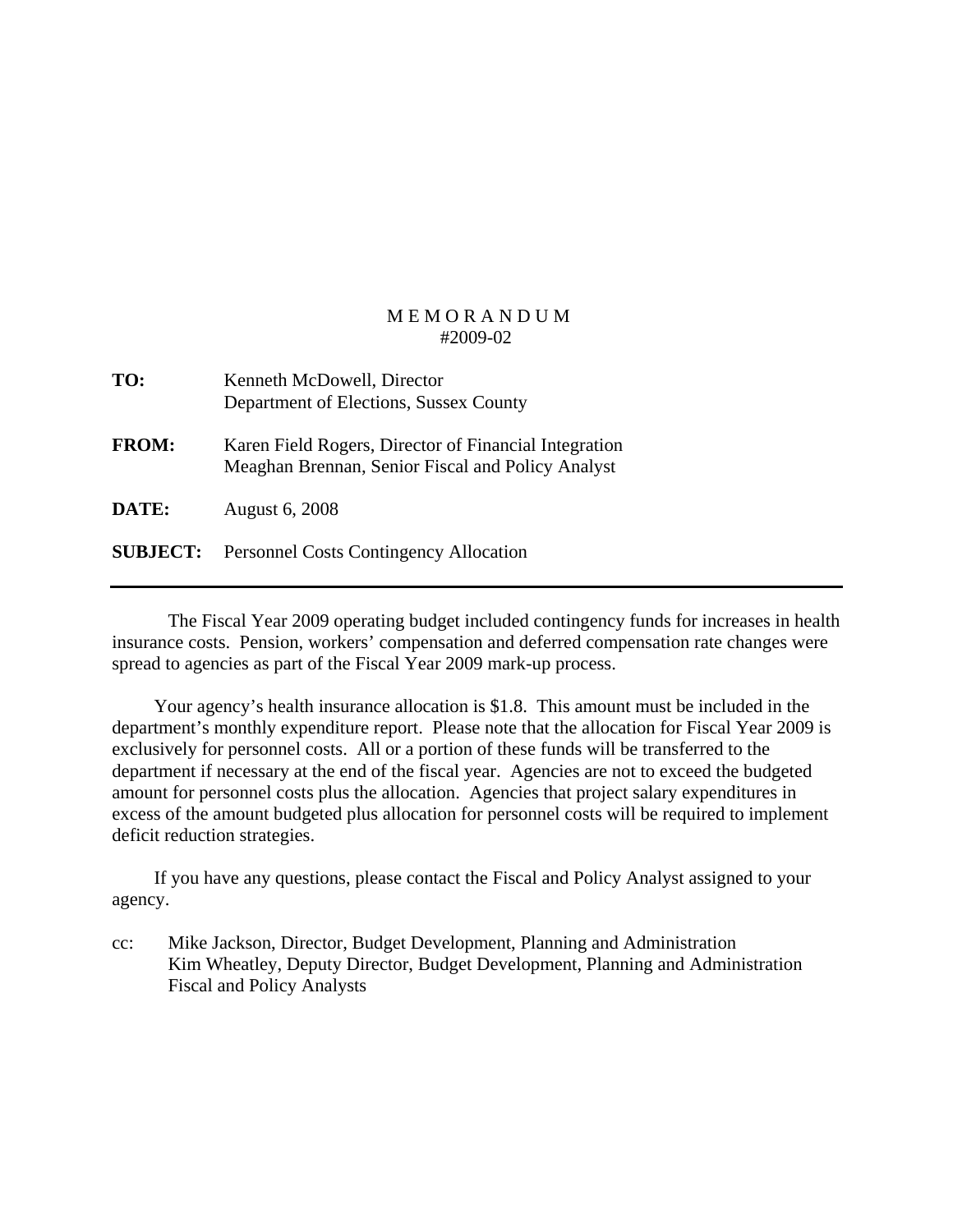| TO:             | Kenneth McDowell, Director<br>Department of Elections, Sussex County                                       |
|-----------------|------------------------------------------------------------------------------------------------------------|
| <b>FROM:</b>    | Karen Field Rogers, Director of Financial Integration<br>Meaghan Brennan, Senior Fiscal and Policy Analyst |
| <b>DATE:</b>    | <b>August 6, 2008</b>                                                                                      |
| <b>SUBJECT:</b> | <b>Personnel Costs Contingency Allocation</b>                                                              |

 The Fiscal Year 2009 operating budget included contingency funds for increases in health insurance costs. Pension, workers' compensation and deferred compensation rate changes were spread to agencies as part of the Fiscal Year 2009 mark-up process.

 Your agency's health insurance allocation is \$1.8. This amount must be included in the department's monthly expenditure report. Please note that the allocation for Fiscal Year 2009 is exclusively for personnel costs. All or a portion of these funds will be transferred to the department if necessary at the end of the fiscal year. Agencies are not to exceed the budgeted amount for personnel costs plus the allocation. Agencies that project salary expenditures in excess of the amount budgeted plus allocation for personnel costs will be required to implement deficit reduction strategies.

 If you have any questions, please contact the Fiscal and Policy Analyst assigned to your agency.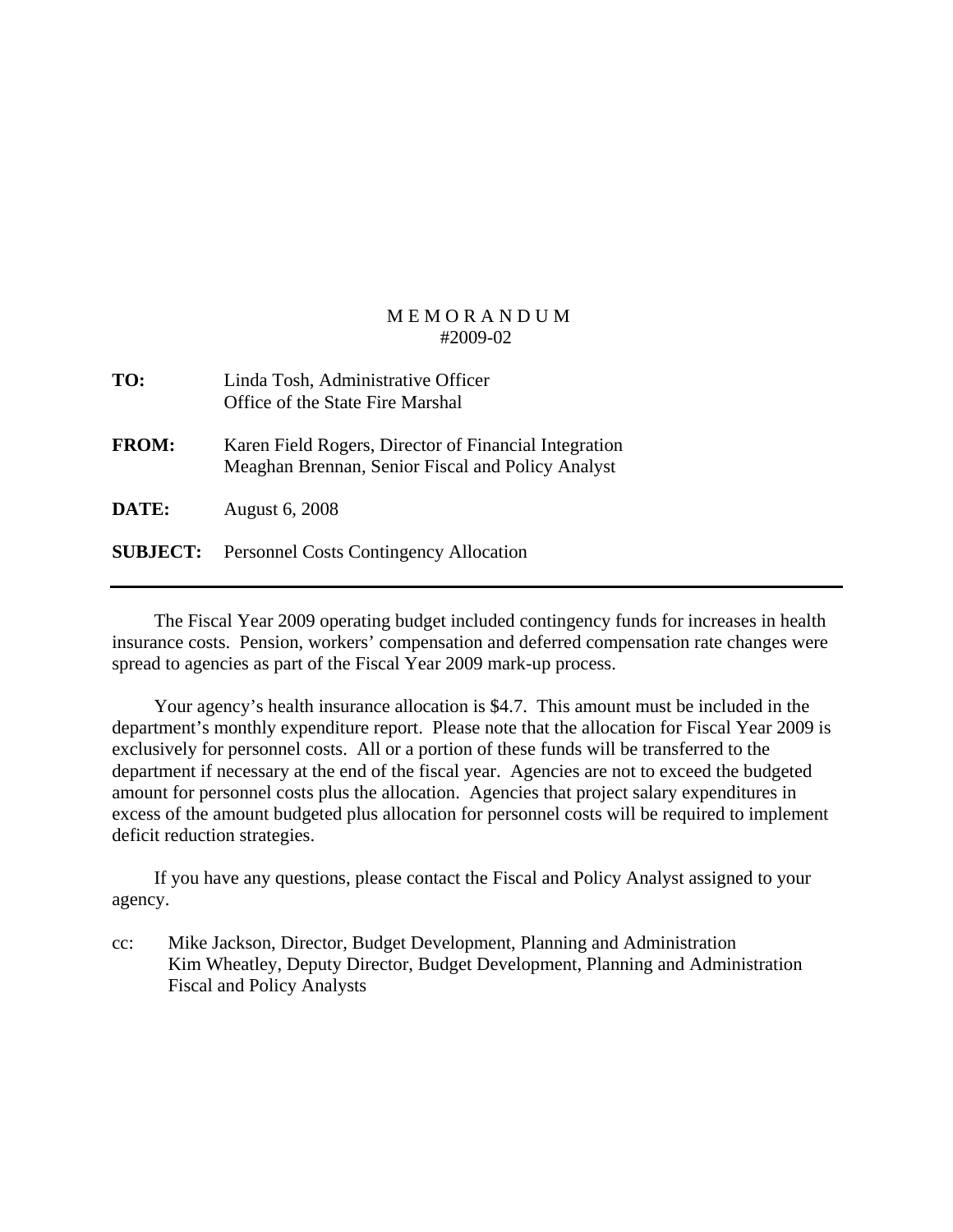| TO:             | Linda Tosh, Administrative Officer<br>Office of the State Fire Marshal                                     |
|-----------------|------------------------------------------------------------------------------------------------------------|
| <b>FROM:</b>    | Karen Field Rogers, Director of Financial Integration<br>Meaghan Brennan, Senior Fiscal and Policy Analyst |
| DATE:           | <b>August 6, 2008</b>                                                                                      |
| <b>SUBJECT:</b> | <b>Personnel Costs Contingency Allocation</b>                                                              |

 The Fiscal Year 2009 operating budget included contingency funds for increases in health insurance costs. Pension, workers' compensation and deferred compensation rate changes were spread to agencies as part of the Fiscal Year 2009 mark-up process.

 Your agency's health insurance allocation is \$4.7. This amount must be included in the department's monthly expenditure report. Please note that the allocation for Fiscal Year 2009 is exclusively for personnel costs. All or a portion of these funds will be transferred to the department if necessary at the end of the fiscal year. Agencies are not to exceed the budgeted amount for personnel costs plus the allocation. Agencies that project salary expenditures in excess of the amount budgeted plus allocation for personnel costs will be required to implement deficit reduction strategies.

 If you have any questions, please contact the Fiscal and Policy Analyst assigned to your agency.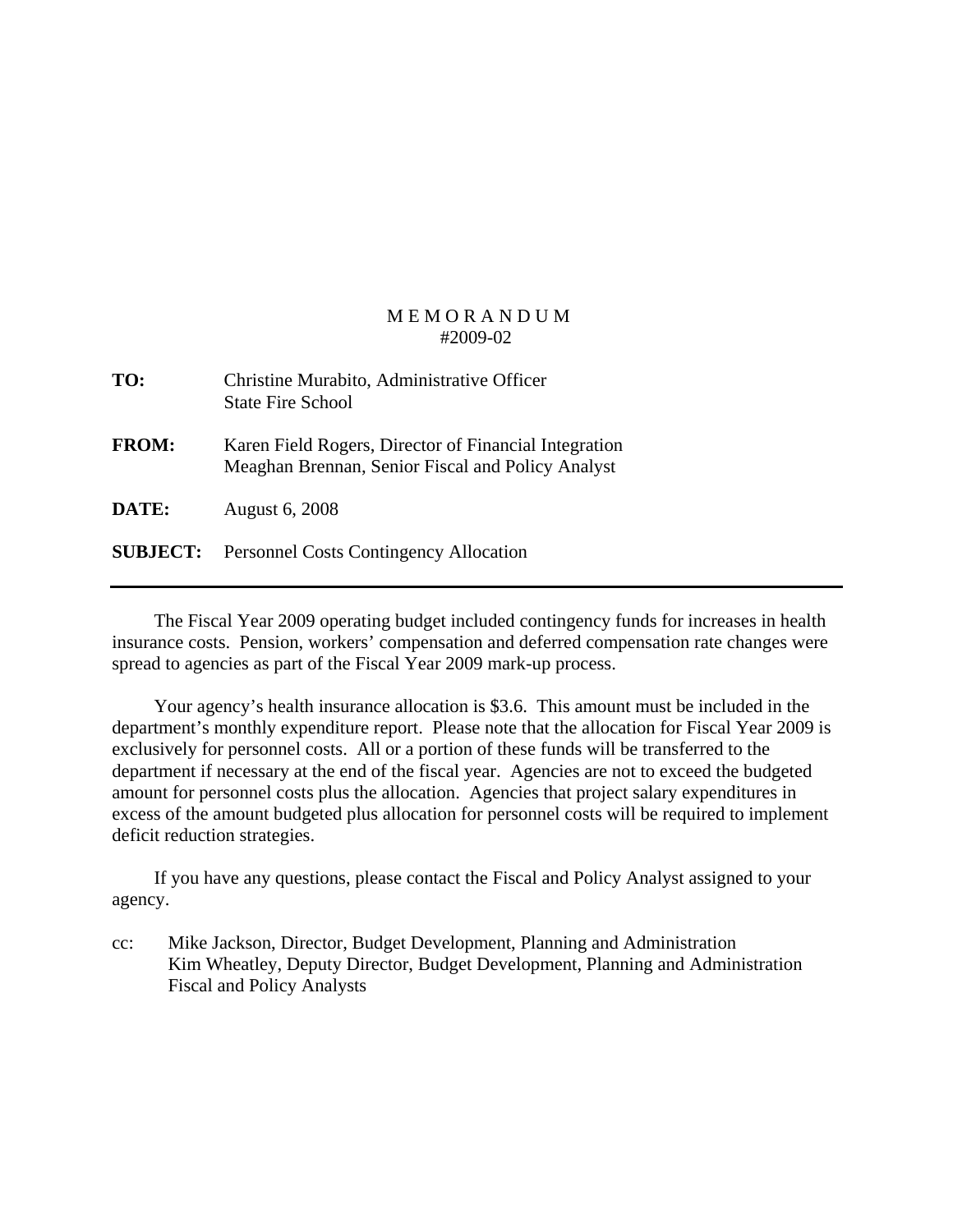| TO:             | Christine Murabito, Administrative Officer<br><b>State Fire School</b>                                     |
|-----------------|------------------------------------------------------------------------------------------------------------|
| <b>FROM:</b>    | Karen Field Rogers, Director of Financial Integration<br>Meaghan Brennan, Senior Fiscal and Policy Analyst |
| DATE:           | <b>August 6, 2008</b>                                                                                      |
| <b>SUBJECT:</b> | <b>Personnel Costs Contingency Allocation</b>                                                              |

 The Fiscal Year 2009 operating budget included contingency funds for increases in health insurance costs. Pension, workers' compensation and deferred compensation rate changes were spread to agencies as part of the Fiscal Year 2009 mark-up process.

 Your agency's health insurance allocation is \$3.6. This amount must be included in the department's monthly expenditure report. Please note that the allocation for Fiscal Year 2009 is exclusively for personnel costs. All or a portion of these funds will be transferred to the department if necessary at the end of the fiscal year. Agencies are not to exceed the budgeted amount for personnel costs plus the allocation. Agencies that project salary expenditures in excess of the amount budgeted plus allocation for personnel costs will be required to implement deficit reduction strategies.

 If you have any questions, please contact the Fiscal and Policy Analyst assigned to your agency.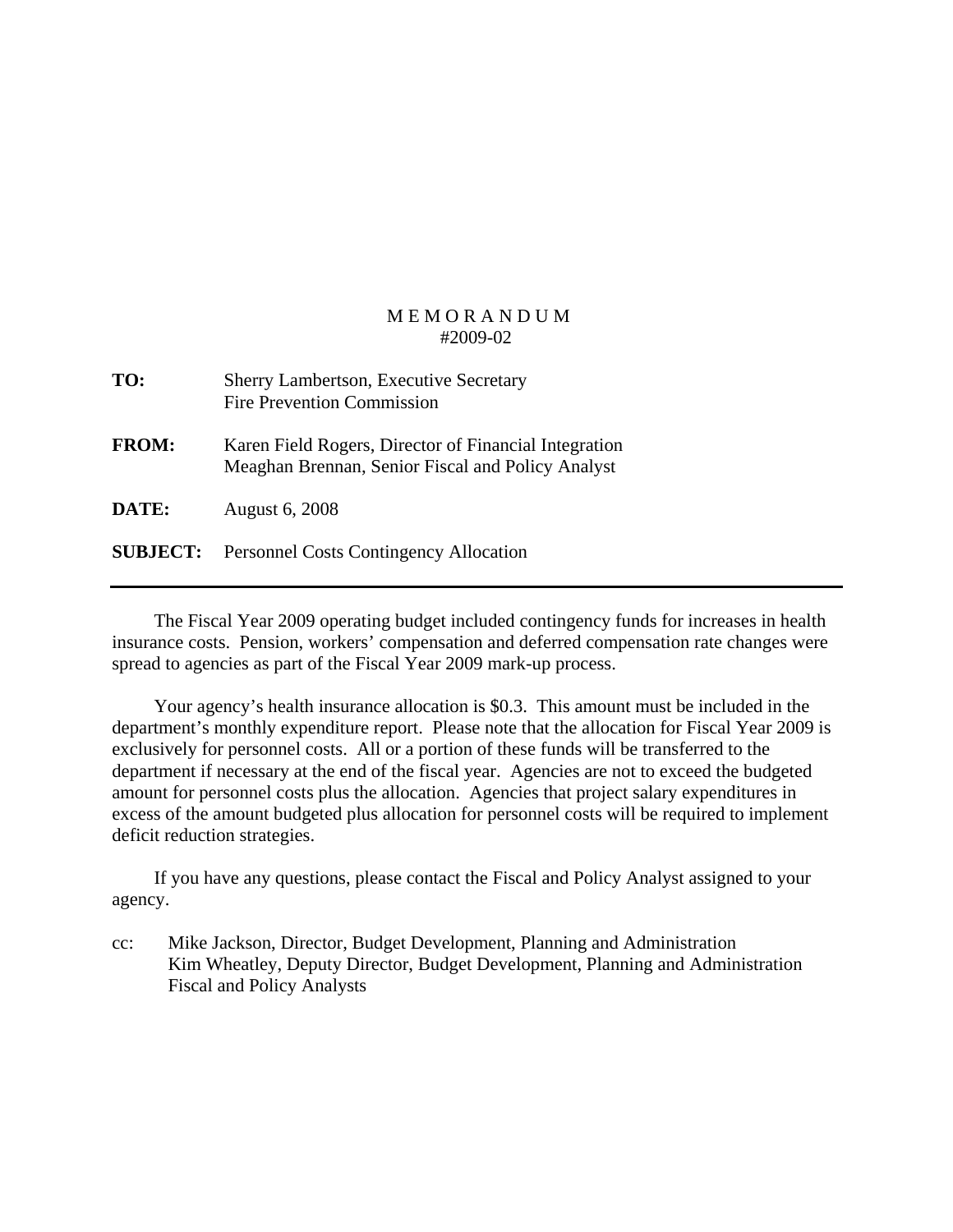| TO:          | <b>Sherry Lambertson, Executive Secretary</b><br><b>Fire Prevention Commission</b>                         |
|--------------|------------------------------------------------------------------------------------------------------------|
| <b>FROM:</b> | Karen Field Rogers, Director of Financial Integration<br>Meaghan Brennan, Senior Fiscal and Policy Analyst |
| DATE:        | <b>August 6, 2008</b>                                                                                      |
|              | <b>SUBJECT:</b> Personnel Costs Contingency Allocation                                                     |

 The Fiscal Year 2009 operating budget included contingency funds for increases in health insurance costs. Pension, workers' compensation and deferred compensation rate changes were spread to agencies as part of the Fiscal Year 2009 mark-up process.

 Your agency's health insurance allocation is \$0.3. This amount must be included in the department's monthly expenditure report. Please note that the allocation for Fiscal Year 2009 is exclusively for personnel costs. All or a portion of these funds will be transferred to the department if necessary at the end of the fiscal year. Agencies are not to exceed the budgeted amount for personnel costs plus the allocation. Agencies that project salary expenditures in excess of the amount budgeted plus allocation for personnel costs will be required to implement deficit reduction strategies.

 If you have any questions, please contact the Fiscal and Policy Analyst assigned to your agency.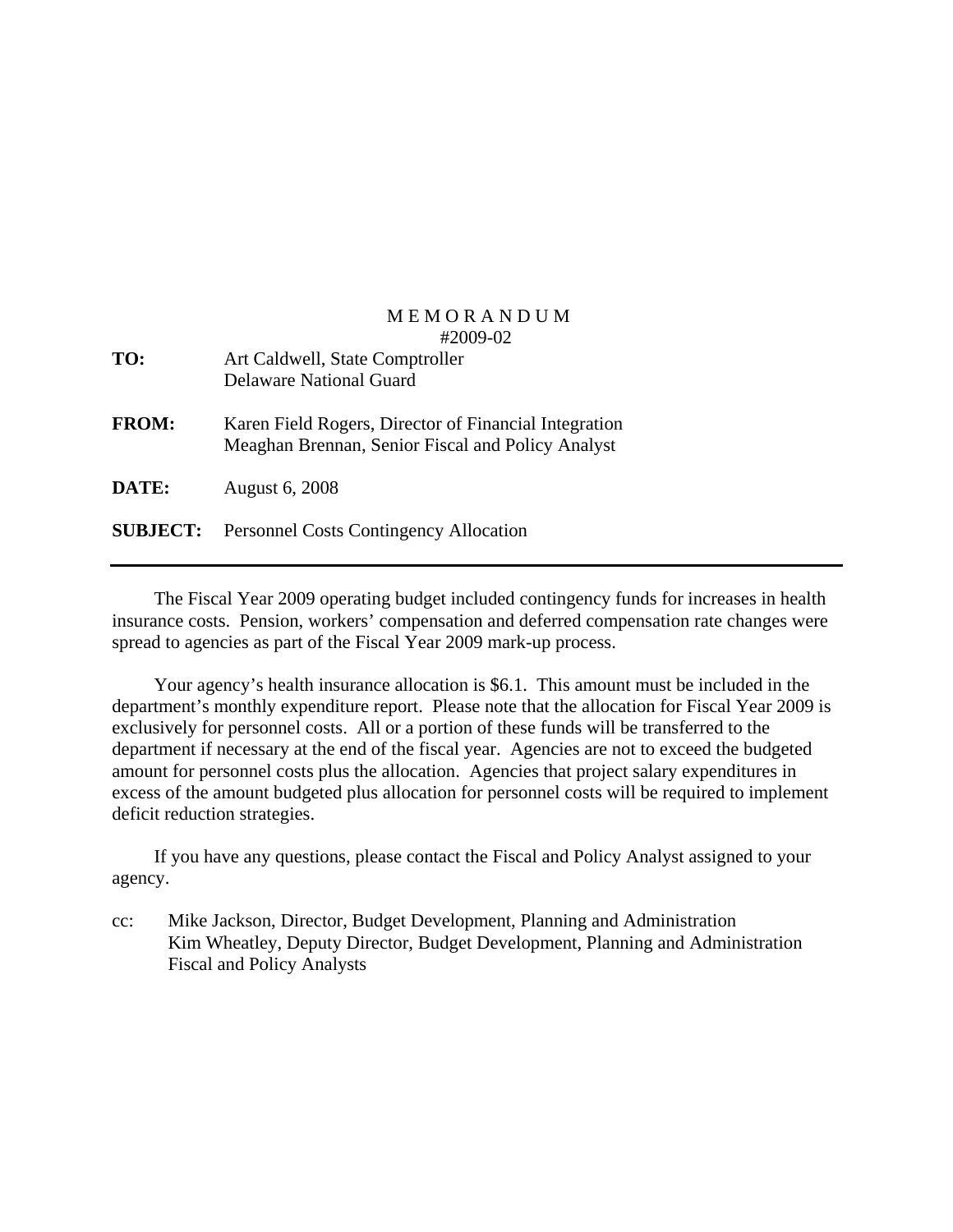| TO:             | Art Caldwell, State Comptroller<br><b>Delaware National Guard</b>                                          |
|-----------------|------------------------------------------------------------------------------------------------------------|
| <b>FROM:</b>    | Karen Field Rogers, Director of Financial Integration<br>Meaghan Brennan, Senior Fiscal and Policy Analyst |
| DATE:           | <b>August 6, 2008</b>                                                                                      |
| <b>SUBJECT:</b> | <b>Personnel Costs Contingency Allocation</b>                                                              |

 The Fiscal Year 2009 operating budget included contingency funds for increases in health insurance costs. Pension, workers' compensation and deferred compensation rate changes were spread to agencies as part of the Fiscal Year 2009 mark-up process.

 Your agency's health insurance allocation is \$6.1. This amount must be included in the department's monthly expenditure report. Please note that the allocation for Fiscal Year 2009 is exclusively for personnel costs. All or a portion of these funds will be transferred to the department if necessary at the end of the fiscal year. Agencies are not to exceed the budgeted amount for personnel costs plus the allocation. Agencies that project salary expenditures in excess of the amount budgeted plus allocation for personnel costs will be required to implement deficit reduction strategies.

 If you have any questions, please contact the Fiscal and Policy Analyst assigned to your agency.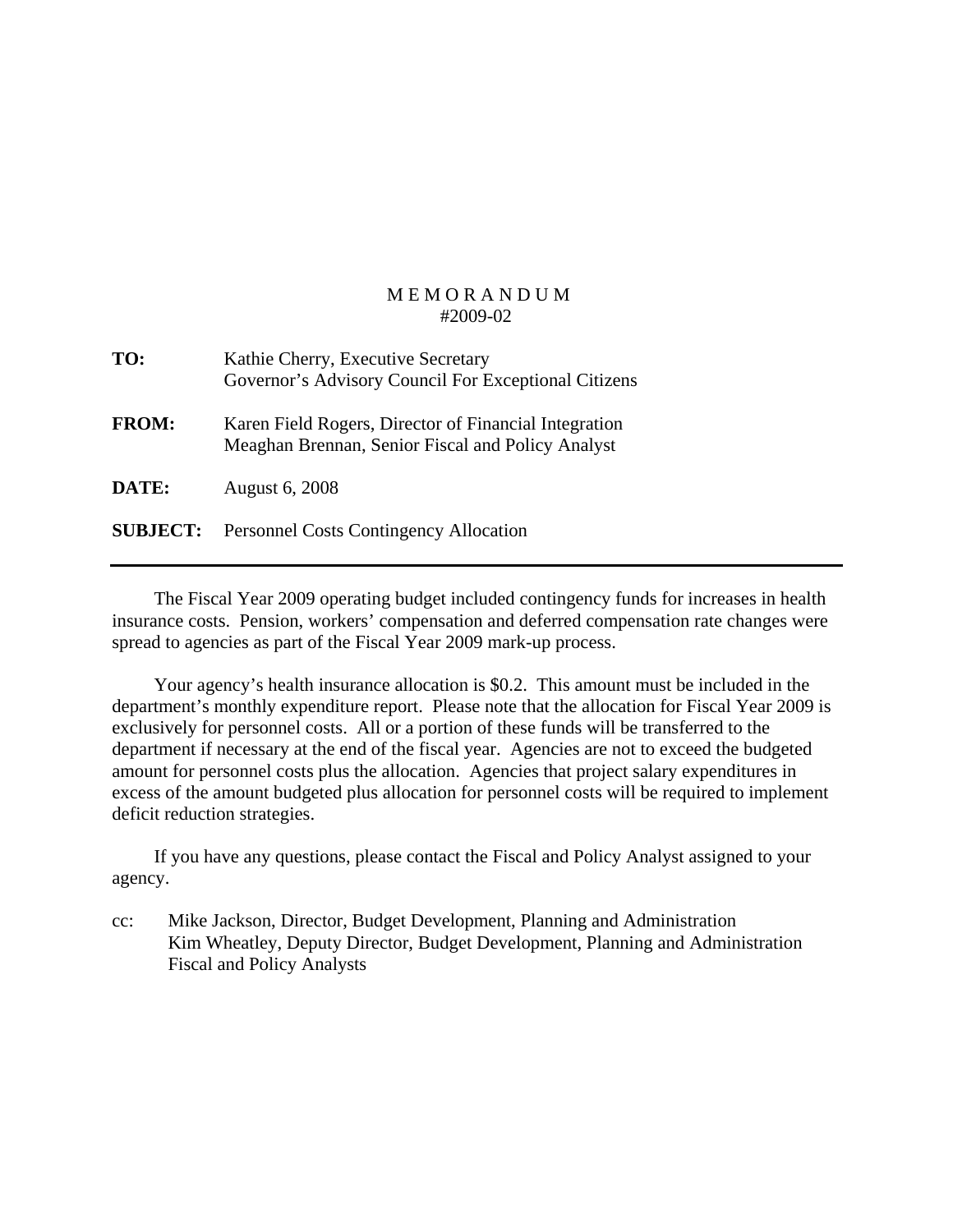| TO:             | Kathie Cherry, Executive Secretary<br>Governor's Advisory Council For Exceptional Citizens                 |
|-----------------|------------------------------------------------------------------------------------------------------------|
| <b>FROM:</b>    | Karen Field Rogers, Director of Financial Integration<br>Meaghan Brennan, Senior Fiscal and Policy Analyst |
| DATE:           | <b>August 6, 2008</b>                                                                                      |
| <b>SUBJECT:</b> | <b>Personnel Costs Contingency Allocation</b>                                                              |

 The Fiscal Year 2009 operating budget included contingency funds for increases in health insurance costs. Pension, workers' compensation and deferred compensation rate changes were spread to agencies as part of the Fiscal Year 2009 mark-up process.

 Your agency's health insurance allocation is \$0.2. This amount must be included in the department's monthly expenditure report. Please note that the allocation for Fiscal Year 2009 is exclusively for personnel costs. All or a portion of these funds will be transferred to the department if necessary at the end of the fiscal year. Agencies are not to exceed the budgeted amount for personnel costs plus the allocation. Agencies that project salary expenditures in excess of the amount budgeted plus allocation for personnel costs will be required to implement deficit reduction strategies.

 If you have any questions, please contact the Fiscal and Policy Analyst assigned to your agency.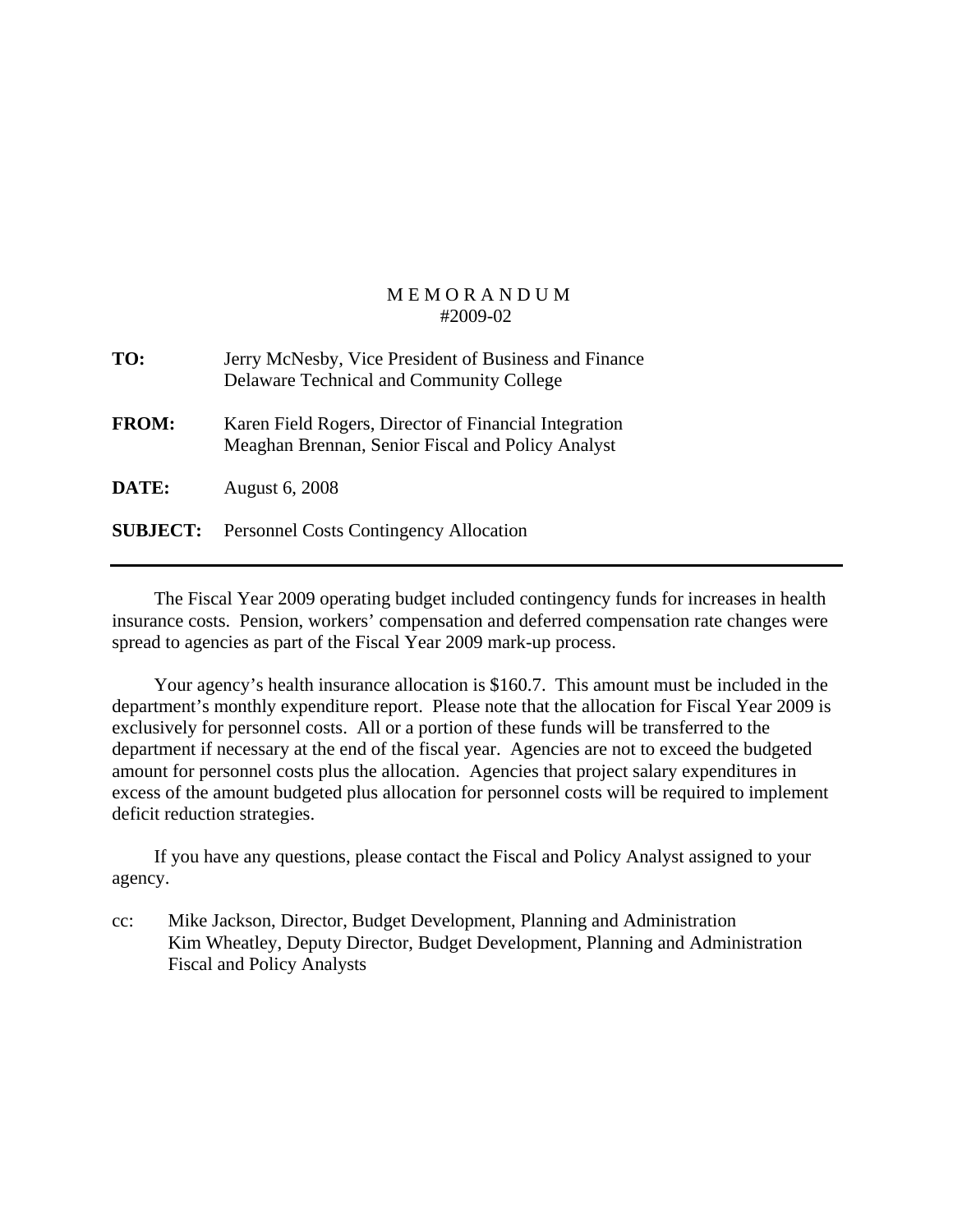| TO:             | Jerry McNesby, Vice President of Business and Finance<br>Delaware Technical and Community College          |
|-----------------|------------------------------------------------------------------------------------------------------------|
| <b>FROM:</b>    | Karen Field Rogers, Director of Financial Integration<br>Meaghan Brennan, Senior Fiscal and Policy Analyst |
| DATE:           | <b>August 6, 2008</b>                                                                                      |
| <b>SUBJECT:</b> | <b>Personnel Costs Contingency Allocation</b>                                                              |

 The Fiscal Year 2009 operating budget included contingency funds for increases in health insurance costs. Pension, workers' compensation and deferred compensation rate changes were spread to agencies as part of the Fiscal Year 2009 mark-up process.

 Your agency's health insurance allocation is \$160.7. This amount must be included in the department's monthly expenditure report. Please note that the allocation for Fiscal Year 2009 is exclusively for personnel costs. All or a portion of these funds will be transferred to the department if necessary at the end of the fiscal year. Agencies are not to exceed the budgeted amount for personnel costs plus the allocation. Agencies that project salary expenditures in excess of the amount budgeted plus allocation for personnel costs will be required to implement deficit reduction strategies.

 If you have any questions, please contact the Fiscal and Policy Analyst assigned to your agency.